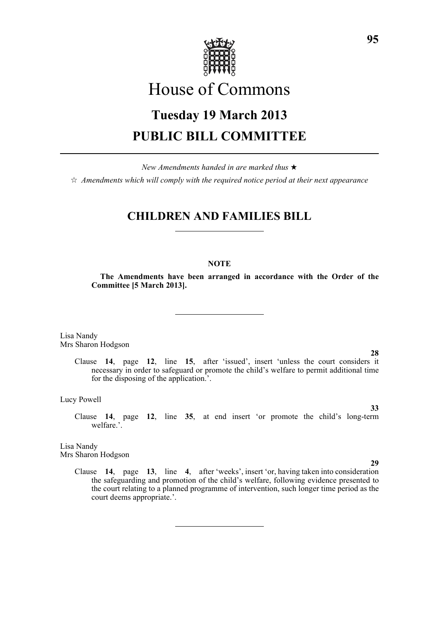

# House of Commons

# **Tuesday 19 March 2013 PUBLIC BILL COMMITTEE**

*New Amendments handed in are marked thus* \*

 $\dot{\varphi}$  *Amendments which will comply with the required notice period at their next appearance* 

# **CHILDREN AND FAMILIES BILL**

# **NOTE**

**The Amendments have been arranged in accordance with the Order of the Committee [5 March 2013].**

Lisa Nandy Mrs Sharon Hodgson

**28**

**33**

**29**

Clause **14**, page **12**, line **15**, after 'issued', insert 'unless the court considers it necessary in order to safeguard or promote the child's welfare to permit additional time for the disposing of the application.'.

Lucy Powell

Clause **14**, page **12**, line **35**, at end insert 'or promote the child's long-term welfare.'.

Lisa Nandy Mrs Sharon Hodgson

> Clause **14**, page **13**, line **4**, after 'weeks', insert 'or, having taken into consideration the safeguarding and promotion of the child's welfare, following evidence presented to the court relating to a planned programme of intervention, such longer time period as the court deems appropriate.'.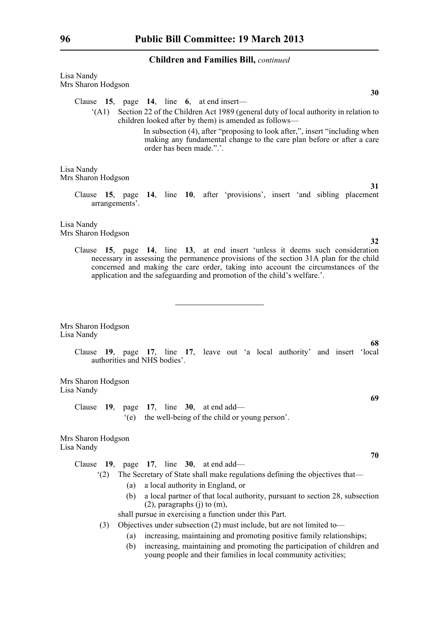| Lisa Nandy         |  |
|--------------------|--|
| Mrs Sharon Hodgson |  |

Clause **15**, page **14**, line **6**, at end insert—

'(A1) Section 22 of the Children Act 1989 (general duty of local authority in relation to children looked after by them) is amended as follows—

> In subsection (4), after "proposing to look after,", insert "including when making any fundamental change to the care plan before or after a care order has been made.".'.

Lisa Nandy Mrs Sharon Hodgson

> Clause **15**, page **14**, line **10**, after 'provisions', insert 'and sibling placement arrangements'.

Lisa Nandy Mrs Sharon Hodgson

> Clause **15**, page **14**, line **13**, at end insert 'unless it deems such consideration necessary in assessing the permanence provisions of the section 31A plan for the child concerned and making the care order, taking into account the circumstances of the application and the safeguarding and promotion of the child's welfare.'.

Mrs Sharon Hodgson Lisa Nandy

> Clause **19**, page **17**, line **17**, leave out 'a local authority' and insert 'local authorities and NHS bodies'.

Mrs Sharon Hodgson Lisa Nandy

> Clause **19**, page **17**, line **30**, at end add— '(e) the well-being of the child or young person'.

Mrs Sharon Hodgson Lisa Nandy

- Clause **19**, page **17**, line **30**, at end add—
	- '(2) The Secretary of State shall make regulations defining the objectives that—
		- (a) a local authority in England, or
		- (b) a local partner of that local authority, pursuant to section 28, subsection (2), paragraphs (j) to (m),

shall pursue in exercising a function under this Part.

- (3) Objectives under subsection (2) must include, but are not limited to—
	- (a) increasing, maintaining and promoting positive family relationships;
	- (b) increasing, maintaining and promoting the participation of children and young people and their families in local community activities;

**32**

**31**

**30**

**68**

**69**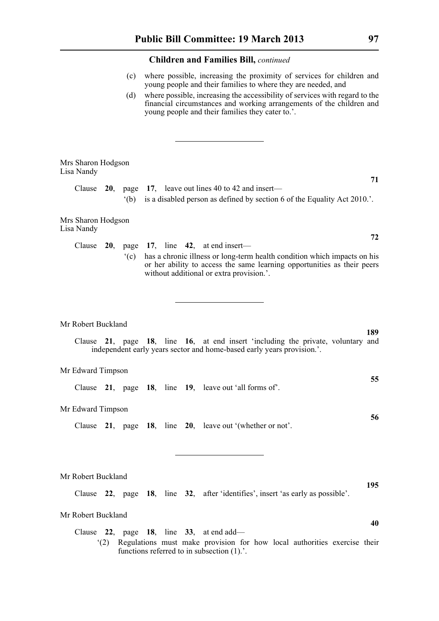|                                  |     | (c)            |  | where possible, increasing the proximity of services for children and<br>young people and their families to where they are needed, and                                                                  |
|----------------------------------|-----|----------------|--|---------------------------------------------------------------------------------------------------------------------------------------------------------------------------------------------------------|
|                                  |     | (d)            |  | where possible, increasing the accessibility of services with regard to the<br>financial circumstances and working arrangements of the children and<br>young people and their families they cater to.'. |
|                                  |     |                |  |                                                                                                                                                                                                         |
|                                  |     |                |  |                                                                                                                                                                                                         |
| Mrs Sharon Hodgson<br>Lisa Nandy |     |                |  |                                                                                                                                                                                                         |
| Clause                           |     | $^{\circ}$ (b) |  | 71<br>20, page 17, leave out lines 40 to 42 and insert—<br>is a disabled person as defined by section 6 of the Equality Act 2010.'.                                                                     |
| Mrs Sharon Hodgson<br>Lisa Nandy |     |                |  |                                                                                                                                                                                                         |
| Clause                           |     |                |  | 72<br>20, page 17, line 42, at end insert—                                                                                                                                                              |
|                                  |     | $\degree$ (c)  |  | has a chronic illness or long-term health condition which impacts on his<br>or her ability to access the same learning opportunities as their peers<br>without additional or extra provision.'.         |
|                                  |     |                |  |                                                                                                                                                                                                         |
| Mr Robert Buckland               |     |                |  |                                                                                                                                                                                                         |
|                                  |     |                |  | 189<br>Clause 21, page 18, line 16, at end insert 'including the private, voluntary and<br>independent early years sector and home-based early years provision.'.                                       |
| Mr Edward Timpson                |     |                |  |                                                                                                                                                                                                         |
| Clause                           |     |                |  | 55<br>21, page 18, line 19, leave out 'all forms of'.                                                                                                                                                   |
| Mr Edward Timpson                |     |                |  | 56                                                                                                                                                                                                      |
| Clause                           |     |                |  | 21, page 18, line 20, leave out '(whether or not'.                                                                                                                                                      |
|                                  |     |                |  |                                                                                                                                                                                                         |
| Mr Robert Buckland               |     |                |  |                                                                                                                                                                                                         |
|                                  |     |                |  | 195<br>Clause 22, page 18, line 32, after 'identifies', insert 'as early as possible'.                                                                                                                  |
| Mr Robert Buckland               |     |                |  | 40                                                                                                                                                                                                      |
|                                  | (2) |                |  | Clause $22$ , page 18, line $33$ , at end add—<br>Regulations must make provision for how local authorities exercise their<br>functions referred to in subsection $(1)$ .                               |
|                                  |     |                |  |                                                                                                                                                                                                         |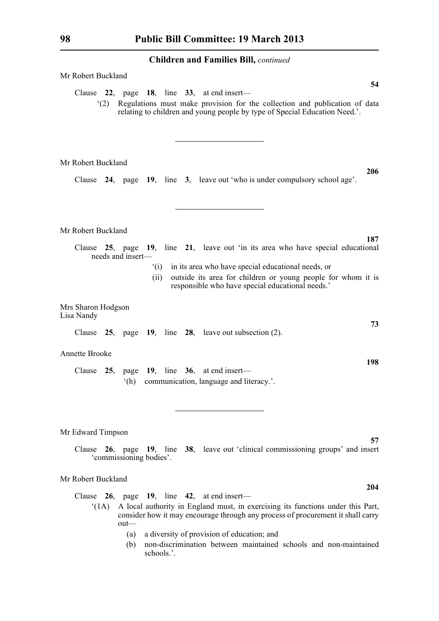| Mr Robert Buckland                                                                                                                                                                                                   |
|----------------------------------------------------------------------------------------------------------------------------------------------------------------------------------------------------------------------|
| 54<br>Clause 22, page 18, line 33, at end insert—<br>Regulations must make provision for the collection and publication of data<br>(2)<br>relating to children and young people by type of Special Education Need.'. |
| Mr Robert Buckland                                                                                                                                                                                                   |
| 206<br>Clause 24, page 19, line 3, leave out 'who is under compulsory school age'.                                                                                                                                   |
| Mr Robert Buckland                                                                                                                                                                                                   |
| 187<br>25, page 19, line 21, leave out 'in its area who have special educational<br>Clause<br>needs and insert-                                                                                                      |
| in its area who have special educational needs, or<br>(i)<br>(ii)<br>outside its area for children or young people for whom it is<br>responsible who have special educational needs.'                                |
| Mrs Sharon Hodgson<br>Lisa Nandy<br>73                                                                                                                                                                               |
| Clause $25$ , page 19, line $28$ , leave out subsection (2).                                                                                                                                                         |
| <b>Annette Brooke</b>                                                                                                                                                                                                |
| 198<br>Clause<br>25, page 19, line 36, at end insert—<br>communication, language and literacy.'.<br>(h)                                                                                                              |
| Mr Edward Timpson<br>57<br>Clause 26, page 19, line 38, leave out 'clinical commissioning groups' and insert                                                                                                         |
| 'commissioning bodies'.                                                                                                                                                                                              |
| Mr Robert Buckland<br>204                                                                                                                                                                                            |
| Clause $26$ , page 19, line 42, at end insert—                                                                                                                                                                       |
| A local authority in England must, in exercising its functions under this Part,<br>(1A)<br>consider how it may encourage through any process of procurement it shall carry<br>out-                                   |
| a diversity of provision of education; and<br>(a)                                                                                                                                                                    |

(b) non-discrimination between maintained schools and non-maintained schools.'.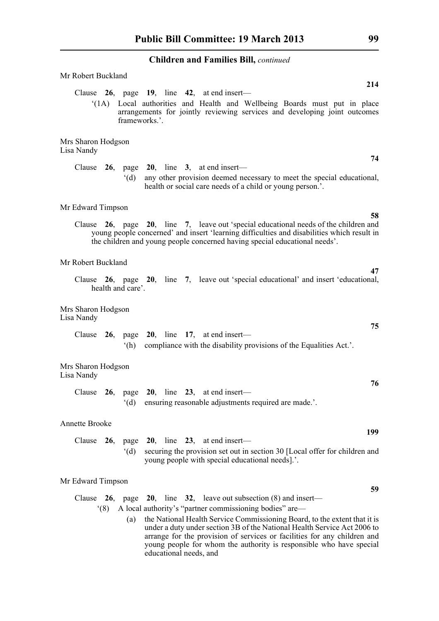| Mr Robert Buckland<br>214                                                                                                                                                                                                                                                                                                                                                                                                                                                |
|--------------------------------------------------------------------------------------------------------------------------------------------------------------------------------------------------------------------------------------------------------------------------------------------------------------------------------------------------------------------------------------------------------------------------------------------------------------------------|
| Clause $26$ , page 19, line 42, at end insert—<br>Local authorities and Health and Wellbeing Boards must put in place<br>(1A)<br>arrangements for jointly reviewing services and developing joint outcomes<br>frameworks.'.                                                                                                                                                                                                                                              |
| Mrs Sharon Hodgson<br>Lisa Nandy<br>74                                                                                                                                                                                                                                                                                                                                                                                                                                   |
| Clause $26$ , page $20$ , line $3$ , at end insert—<br>any other provision deemed necessary to meet the special educational,<br>$^{\circ}$ (d)<br>health or social care needs of a child or young person.'.                                                                                                                                                                                                                                                              |
| Mr Edward Timpson                                                                                                                                                                                                                                                                                                                                                                                                                                                        |
| 58<br>26, page 20, line 7, leave out 'special educational needs of the children and<br>Clause<br>young people concerned' and insert 'learning difficulties and disabilities which result in<br>the children and young people concerned having special educational needs'.                                                                                                                                                                                                |
| Mr Robert Buckland                                                                                                                                                                                                                                                                                                                                                                                                                                                       |
| 47<br>Clause 26, page 20, line 7, leave out 'special educational' and insert 'educational,<br>health and care'.                                                                                                                                                                                                                                                                                                                                                          |
| Mrs Sharon Hodgson<br>Lisa Nandy<br>75                                                                                                                                                                                                                                                                                                                                                                                                                                   |
| Clause $26$ , page $20$ , line 17, at end insert—<br>compliance with the disability provisions of the Equalities Act.'.<br>(h)                                                                                                                                                                                                                                                                                                                                           |
| Mrs Sharon Hodgson<br>Lisa Nandy                                                                                                                                                                                                                                                                                                                                                                                                                                         |
| 76<br>26, page 20, line 23, at end insert—<br>Clause<br>$\mathrm{G}(d)$<br>ensuring reasonable adjustments required are made.'.                                                                                                                                                                                                                                                                                                                                          |
| Annette Brooke                                                                                                                                                                                                                                                                                                                                                                                                                                                           |
| 199<br>Clause<br>page 20, line 23, at end insert-<br>26,<br>$^{\circ}$ (d)<br>securing the provision set out in section 30 [Local offer for children and<br>young people with special educational needs].'.                                                                                                                                                                                                                                                              |
| Mr Edward Timpson                                                                                                                                                                                                                                                                                                                                                                                                                                                        |
| 59<br>20, line $32$ , leave out subsection (8) and insert—<br>Clause $26$ ,<br>page<br>A local authority's "partner commissioning bodies" are—<br>(8)<br>the National Health Service Commissioning Board, to the extent that it is<br>(a)<br>under a duty under section 3B of the National Health Service Act 2006 to<br>arrange for the provision of services or facilities for any children and<br>young people for whom the authority is responsible who have special |

educational needs, and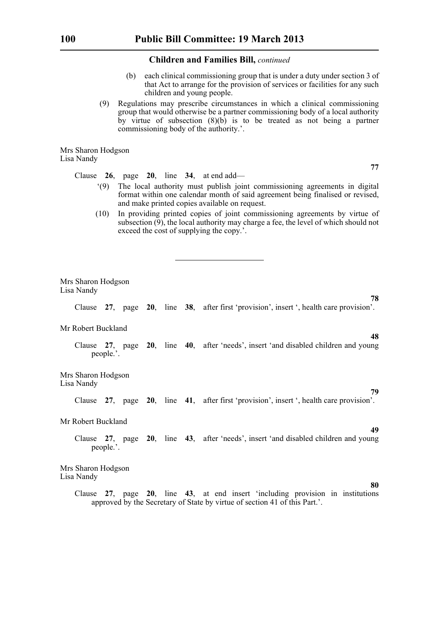- (b) each clinical commissioning group that is under a duty under section 3 of that Act to arrange for the provision of services or facilities for any such children and young people.
- (9) Regulations may prescribe circumstances in which a clinical commissioning group that would otherwise be a partner commissioning body of a local authority by virtue of subsection  $(8)(b)$  is to be treated as not being a partner commissioning body of the authority.'.

Mrs Sharon Hodgson Lisa Nandy

Clause **26**, page **20**, line **34**, at end add—

**77**

**78**

**48**

**79**

**49**

**80**

- '(9) The local authority must publish joint commissioning agreements in digital format within one calendar month of said agreement being finalised or revised, and make printed copies available on request.
- (10) In providing printed copies of joint commissioning agreements by virtue of subsection  $(\overline{9})$ , the local authority may charge a fee, the level of which should not exceed the cost of supplying the copy.'.

Mrs Sharon Hodgson Lisa Nandy

Clause **27**, page **20**, line **38**, after first 'provision', insert ', health care provision'.

# Mr Robert Buckland

Clause **27**, page **20**, line **40**, after 'needs', insert 'and disabled children and young people.'.

Mrs Sharon Hodgson Lisa Nandy

Clause **27**, page **20**, line **41**, after first 'provision', insert ', health care provision'.

Mr Robert Buckland

# Clause **27**, page **20**, line **43**, after 'needs', insert 'and disabled children and young people.'.

Mrs Sharon Hodgson Lisa Nandy

> Clause **27**, page **20**, line **43**, at end insert 'including provision in institutions approved by the Secretary of State by virtue of section 41 of this Part.'.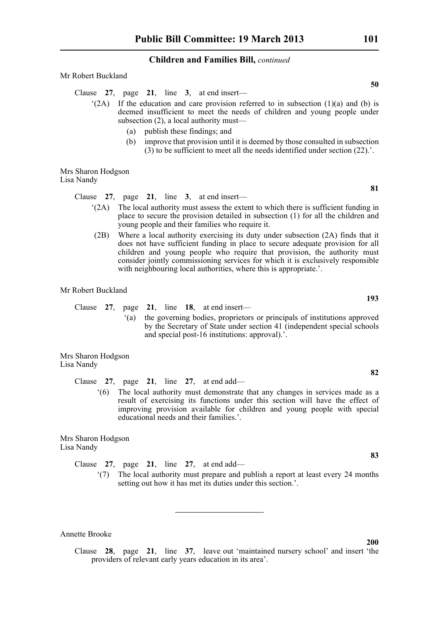#### Mr Robert Buckland

- Clause **27**, page **21**, line **3**, at end insert—
	- $(2A)$  If the education and care provision referred to in subsection (1)(a) and (b) is deemed insufficient to meet the needs of children and young people under subsection (2), a local authority must—
		- (a) publish these findings; and
		- (b) improve that provision until it is deemed by those consulted in subsection  $(3)$  to be sufficient to meet all the needs identified under section  $(22)$ .'.

Mrs Sharon Hodgson Lisa Nandy

Clause **27**, page **21**, line **3**, at end insert—

- '(2A) The local authority must assess the extent to which there is sufficient funding in place to secure the provision detailed in subsection (1) for all the children and young people and their families who require it.
- (2B) Where a local authority exercising its duty under subsection (2A) finds that it does not have sufficient funding in place to secure adequate provision for all children and young people who require that provision, the authority must consider jointly commissioning services for which it is exclusively responsible with neighbouring local authorities, where this is appropriate.'.

Mr Robert Buckland

Clause **27**, page **21**, line **18**, at end insert—

'(a) the governing bodies, proprietors or principals of institutions approved by the Secretary of State under section 41 (independent special schools and special post-16 institutions: approval).'.

Mrs Sharon Hodgson Lisa Nandy

Clause **27**, page **21**, line **27**, at end add—

'(6) The local authority must demonstrate that any changes in services made as a result of exercising its functions under this section will have the effect of improving provision available for children and young people with special educational needs and their families.'.

Mrs Sharon Hodgson Lisa Nandy

Clause **27**, page **21**, line **27**, at end add—

'(7) The local authority must prepare and publish a report at least every 24 months setting out how it has met its duties under this section.'.

Annette Brooke

Clause **28**, page **21**, line **37**, leave out 'maintained nursery school' and insert 'the providers of relevant early years education in its area'.

**81**

**193**

**82**

**83**

**50**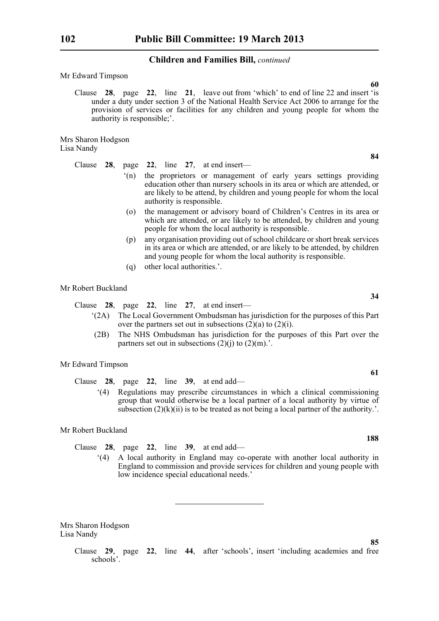Mr Edward Timpson

Clause **28**, page **22**, line **21**, leave out from 'which' to end of line 22 and insert 'is under a duty under section 3 of the National Health Service Act 2006 to arrange for the provision of services or facilities for any children and young people for whom the authority is responsible;'.

Mrs Sharon Hodgson Lisa Nandy

Clause **28**, page **22**, line **27**, at end insert—

- '(n) the proprietors or management of early years settings providing education other than nursery schools in its area or which are attended, or are likely to be attend, by children and young people for whom the local authority is responsible.
- (o) the management or advisory board of Children's Centres in its area or which are attended, or are likely to be attended, by children and young people for whom the local authority is responsible.
- (p) any organisation providing out of school childcare or short break services in its area or which are attended, or are likely to be attended, by children and young people for whom the local authority is responsible.
- (q) other local authorities.'.

# Mr Robert Buckland

Clause **28**, page **22**, line **27**, at end insert—

- '(2A) The Local Government Ombudsman has jurisdiction for the purposes of this Part over the partners set out in subsections  $(2)(a)$  to  $(2)(i)$ .
- (2B) The NHS Ombudsman has jurisdiction for the purposes of this Part over the partners set out in subsections  $(2)(i)$  to  $(2)(m)$ .'.

#### Mr Edward Timpson

Clause **28**, page **22**, line **39**, at end add—

'(4) Regulations may prescribe circumstances in which a clinical commissioning group that would otherwise be a local partner of a local authority by virtue of subsection  $(2)(k)(ii)$  is to be treated as not being a local partner of the authority.'.

Mr Robert Buckland

- Clause **28**, page **22**, line **39**, at end add—
	- '(4) A local authority in England may co-operate with another local authority in England to commission and provide services for children and young people with low incidence special educational needs.'

Mrs Sharon Hodgson Lisa Nandy

> Clause **29**, page **22**, line **44**, after 'schools', insert 'including academies and free schools'.

**60**

**34**

**61**

**188**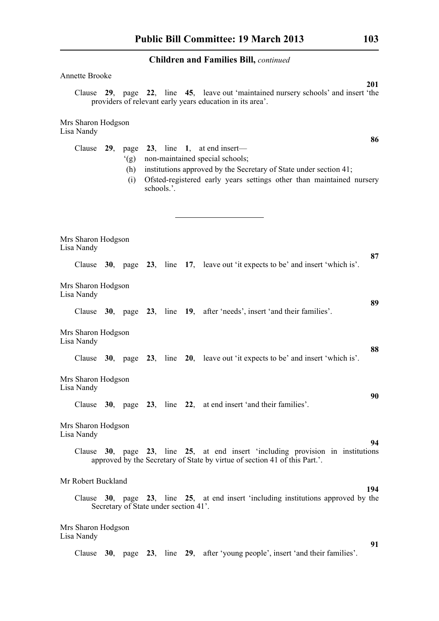| Annette Brooke                                                                                                                                                                                                                                                      |            |
|---------------------------------------------------------------------------------------------------------------------------------------------------------------------------------------------------------------------------------------------------------------------|------------|
| Clause 29, page 22, line 45, leave out 'maintained nursery schools' and insert 'the<br>providers of relevant early years education in its area'.                                                                                                                    | <b>201</b> |
| Mrs Sharon Hodgson<br>Lisa Nandy                                                                                                                                                                                                                                    |            |
| Clause $29$ , page $23$ , line 1, at end insert—<br>non-maintained special schools;<br>(g)<br>institutions approved by the Secretary of State under section 41;<br>(h)<br>Ofsted-registered early years settings other than maintained nursery<br>(i)<br>schools.'. | 86         |
| Mrs Sharon Hodgson<br>Lisa Nandy                                                                                                                                                                                                                                    |            |
| Clause 30, page 23, line 17, leave out 'it expects to be' and insert 'which is'.                                                                                                                                                                                    | 87         |
| Mrs Sharon Hodgson<br>Lisa Nandy                                                                                                                                                                                                                                    |            |
| Clause 30, page 23, line 19, after 'needs', insert 'and their families'.                                                                                                                                                                                            | 89         |
| Mrs Sharon Hodgson<br>Lisa Nandy                                                                                                                                                                                                                                    | 88         |
| Clause $30$ , page $23$ , line $20$ , leave out 'it expects to be' and insert 'which is'.                                                                                                                                                                           |            |
| Mrs Sharon Hodgson<br>Lisa Nandy                                                                                                                                                                                                                                    | 90         |
| Clause 30, page 23, line 22, at end insert 'and their families'.                                                                                                                                                                                                    |            |
| Mrs Sharon Hodgson<br>Lisa Nandy                                                                                                                                                                                                                                    | 94         |
| Clause 30, page 23, line 25, at end insert 'including provision in institutions<br>approved by the Secretary of State by virtue of section 41 of this Part.'.                                                                                                       |            |
| Mr Robert Buckland                                                                                                                                                                                                                                                  | 194        |
| Clause 30, page 23, line 25, at end insert 'including institutions approved by the<br>Secretary of State under section 41'.                                                                                                                                         |            |
| Mrs Sharon Hodgson<br>Lisa Nandy                                                                                                                                                                                                                                    |            |
| Clause 30, page 23, line 29, after 'young people', insert 'and their families'.                                                                                                                                                                                     | 91         |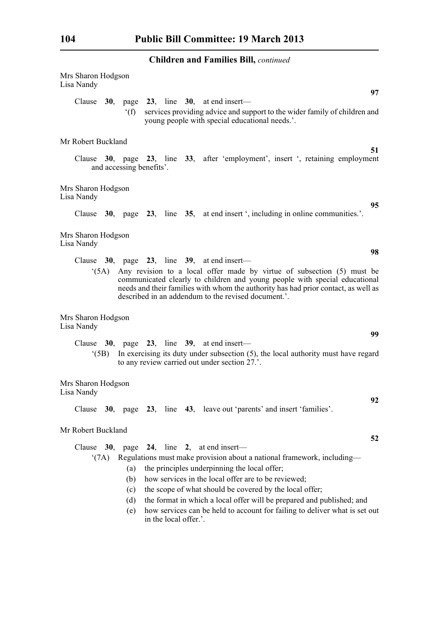| Mrs Sharon Hodgson<br>Lisa Nandy |      |                                 |                       | 97                                                                                                                                                                                                                                                                                                                                                                                                                                                  |  |
|----------------------------------|------|---------------------------------|-----------------------|-----------------------------------------------------------------------------------------------------------------------------------------------------------------------------------------------------------------------------------------------------------------------------------------------------------------------------------------------------------------------------------------------------------------------------------------------------|--|
| Clause $30$ ,                    |      | f(f)                            |                       | page 23, line 30, at end insert—<br>services providing advice and support to the wider family of children and<br>young people with special educational needs.'.                                                                                                                                                                                                                                                                                     |  |
| Mr Robert Buckland               |      |                                 |                       |                                                                                                                                                                                                                                                                                                                                                                                                                                                     |  |
|                                  |      | and accessing benefits'.        |                       | 51<br>Clause 30, page 23, line 33, after 'employment', insert ', retaining employment                                                                                                                                                                                                                                                                                                                                                               |  |
| Mrs Sharon Hodgson<br>Lisa Nandy |      |                                 |                       |                                                                                                                                                                                                                                                                                                                                                                                                                                                     |  |
|                                  |      |                                 |                       | 95<br>Clause 30, page 23, line 35, at end insert ', including in online communities.'.                                                                                                                                                                                                                                                                                                                                                              |  |
| Mrs Sharon Hodgson<br>Lisa Nandy |      |                                 |                       |                                                                                                                                                                                                                                                                                                                                                                                                                                                     |  |
|                                  |      |                                 |                       | 98<br>Clause $30$ , page $23$ , line $39$ , at end insert—                                                                                                                                                                                                                                                                                                                                                                                          |  |
|                                  | (5A) |                                 |                       | Any revision to a local offer made by virtue of subsection (5) must be<br>communicated clearly to children and young people with special educational<br>needs and their families with whom the authority has had prior contact, as well as<br>described in an addendum to the revised document.'.                                                                                                                                                   |  |
| Mrs Sharon Hodgson<br>Lisa Nandy |      |                                 |                       | 99                                                                                                                                                                                                                                                                                                                                                                                                                                                  |  |
|                                  | (5B) |                                 |                       | Clause $30$ , page $23$ , line $39$ , at end insert—<br>In exercising its duty under subsection $(5)$ , the local authority must have regard<br>to any review carried out under section 27.'.                                                                                                                                                                                                                                                       |  |
| Mrs Sharon Hodgson<br>Lisa Nandy |      |                                 |                       |                                                                                                                                                                                                                                                                                                                                                                                                                                                     |  |
|                                  |      |                                 |                       | 92<br>Clause 30, page 23, line 43, leave out 'parents' and insert 'families'.                                                                                                                                                                                                                                                                                                                                                                       |  |
| Mr Robert Buckland               |      |                                 |                       | 52                                                                                                                                                                                                                                                                                                                                                                                                                                                  |  |
| $^{\circ}$ (7A)                  |      | (a)<br>(b)<br>(c)<br>(d)<br>(e) | in the local offer.'. | Clause $30$ , page $24$ , line 2, at end insert—<br>Regulations must make provision about a national framework, including-<br>the principles underpinning the local offer;<br>how services in the local offer are to be reviewed;<br>the scope of what should be covered by the local offer;<br>the format in which a local offer will be prepared and published; and<br>how services can be held to account for failing to deliver what is set out |  |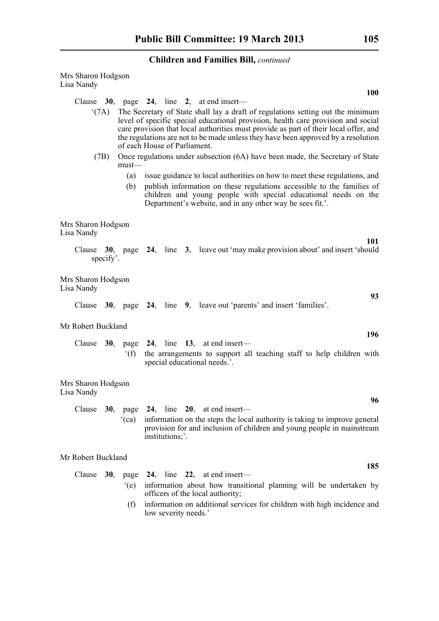| Mrs Sharon Hodgson<br>Lisa Nandy |               |                                                                                                                                                                                                                                                                                                                                                                                   |
|----------------------------------|---------------|-----------------------------------------------------------------------------------------------------------------------------------------------------------------------------------------------------------------------------------------------------------------------------------------------------------------------------------------------------------------------------------|
|                                  |               | <b>100</b>                                                                                                                                                                                                                                                                                                                                                                        |
|                                  |               | Clause $30$ , page $24$ , line 2, at end insert—                                                                                                                                                                                                                                                                                                                                  |
| $^{\circ}$ (7A)                  |               | The Secretary of State shall lay a draft of regulations setting out the minimum<br>level of specific special educational provision, health care provision and social<br>care provision that local authorities must provide as part of their local offer, and<br>the regulations are not to be made unless they have been approved by a resolution<br>of each House of Parliament. |
| (7B)                             | $must$ —      | Once regulations under subsection (6A) have been made, the Secretary of State                                                                                                                                                                                                                                                                                                     |
|                                  | (a)           | issue guidance to local authorities on how to meet these regulations, and                                                                                                                                                                                                                                                                                                         |
|                                  | (b)           | publish information on these regulations accessible to the families of<br>children and young people with special educational needs on the<br>Department's website, and in any other way he sees fit.'.                                                                                                                                                                            |
| Mrs Sharon Hodgson<br>Lisa Nandy |               |                                                                                                                                                                                                                                                                                                                                                                                   |
| specify'.                        |               | 101<br>Clause 30, page 24, line 3, leave out 'may make provision about' and insert 'should                                                                                                                                                                                                                                                                                        |
| Mrs Sharon Hodgson<br>Lisa Nandy |               |                                                                                                                                                                                                                                                                                                                                                                                   |
|                                  |               | 93<br>Clause 30, page 24, line 9, leave out 'parents' and insert 'families'.                                                                                                                                                                                                                                                                                                      |
| Mr Robert Buckland               |               | 196                                                                                                                                                                                                                                                                                                                                                                               |
|                                  |               | Clause $30$ , page $24$ , line 13, at end insert—                                                                                                                                                                                                                                                                                                                                 |
|                                  | f(f)          | the arrangements to support all teaching staff to help children with<br>special educational needs.'.                                                                                                                                                                                                                                                                              |
| Mrs Sharon Hodgson<br>Lisa Nandy |               |                                                                                                                                                                                                                                                                                                                                                                                   |
|                                  |               | 96                                                                                                                                                                                                                                                                                                                                                                                |
|                                  | (ca)          | Clause $30$ , page $24$ , line $20$ , at end insert—<br>information on the steps the local authority is taking to improve general<br>provision for and inclusion of children and young people in mainstream<br>institutions;'.                                                                                                                                                    |
| Mr Robert Buckland               |               | 185                                                                                                                                                                                                                                                                                                                                                                               |
| Clause $30$ ,                    |               | page 24, line 22, at end insert-                                                                                                                                                                                                                                                                                                                                                  |
|                                  | $\degree$ (e) | information about how transitional planning will be undertaken by<br>officers of the local authority;                                                                                                                                                                                                                                                                             |
|                                  | (f)           | information on additional services for children with high incidence and<br>low severity needs.'                                                                                                                                                                                                                                                                                   |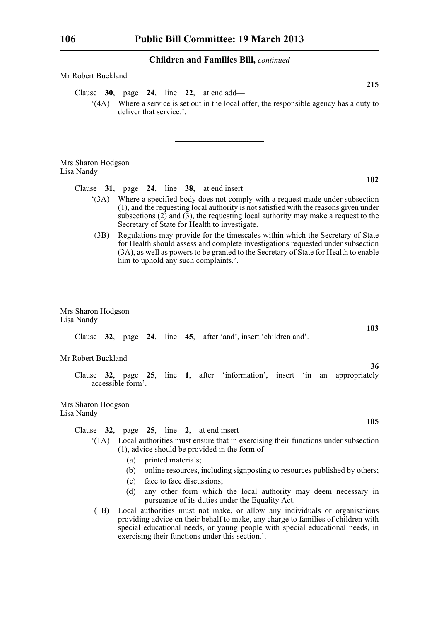| Mr Robert Buckland                                                                                                                                                                                                                                                                                                      |
|-------------------------------------------------------------------------------------------------------------------------------------------------------------------------------------------------------------------------------------------------------------------------------------------------------------------------|
| 215<br>Clause 30, page 24, line 22, at end add—<br>(4A) Where a service is set out in the local offer, the responsible agency has a duty to<br>deliver that service.'.                                                                                                                                                  |
| Mrs Sharon Hodgson<br>Lisa Nandy                                                                                                                                                                                                                                                                                        |
| 102<br>Clause $31$ , page $24$ , line $38$ , at end insert—                                                                                                                                                                                                                                                             |
| Where a specified body does not comply with a request made under subsection<br>(3A)<br>(1), and the requesting local authority is not satisfied with the reasons given under<br>subsections $(2)$ and $(3)$ , the requesting local authority may make a request to the<br>Secretary of State for Health to investigate. |
| Regulations may provide for the timescales within which the Secretary of State<br>(3B)<br>for Health should assess and complete investigations requested under subsection<br>(3A), as well as powers to be granted to the Secretary of State for Health to enable<br>him to uphold any such complaints.'.               |
| Mrs Sharon Hodgson<br>Lisa Nandy                                                                                                                                                                                                                                                                                        |
| 103<br>Clause 32, page 24, line 45, after 'and', insert 'children and'.                                                                                                                                                                                                                                                 |
| Mr Robert Buckland                                                                                                                                                                                                                                                                                                      |
| 36<br>Clause 32, page 25, line 1, after 'information', insert 'in an appropriately<br>accessible form'.                                                                                                                                                                                                                 |
| Mrs Sharon Hodgson<br>Lisa Nandy                                                                                                                                                                                                                                                                                        |
| 105<br>Clause 32, page 25, line 2, at end insert-                                                                                                                                                                                                                                                                       |
| Local authorities must ensure that in exercising their functions under subsection<br>$^{\circ}$ (1A)<br>(1), advice should be provided in the form of-                                                                                                                                                                  |
| printed materials;<br>(a)<br>online resources, including signposting to resources published by others;<br>(b)<br>face to face discussions;<br>(c)                                                                                                                                                                       |

- (d) any other form which the local authority may deem necessary in pursuance of its duties under the Equality Act.
- (1B) Local authorities must not make, or allow any individuals or organisations providing advice on their behalf to make, any charge to families of children with special educational needs, or young people with special educational needs, in exercising their functions under this section.'.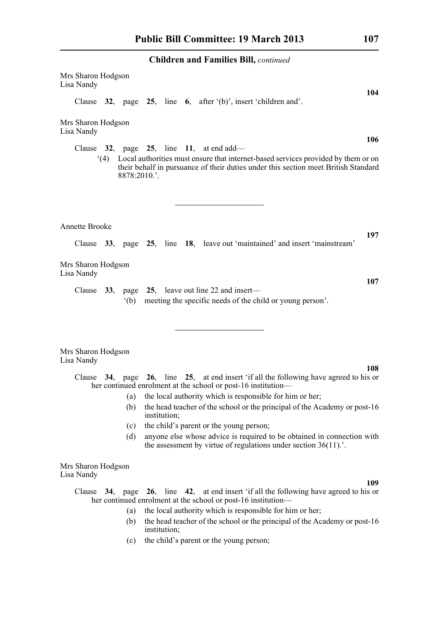| Mrs Sharon Hodgson<br>Lisa Nandy |                                                                                                                                                                                             |                                                                                                                                          |  |  |  |  |  |     |
|----------------------------------|---------------------------------------------------------------------------------------------------------------------------------------------------------------------------------------------|------------------------------------------------------------------------------------------------------------------------------------------|--|--|--|--|--|-----|
|                                  | Clause 32, page 25, line 6, after $(b)$ , insert 'children and'.                                                                                                                            |                                                                                                                                          |  |  |  |  |  | 104 |
| Mrs Sharon Hodgson<br>Lisa Nandy |                                                                                                                                                                                             |                                                                                                                                          |  |  |  |  |  |     |
|                                  | Clause $32$ , page $25$ , line 11, at end add—                                                                                                                                              |                                                                                                                                          |  |  |  |  |  | 106 |
|                                  | (4) Local authorities must ensure that internet-based services provided by them or on<br>their behalf in pursuance of their duties under this section meet British Standard<br>8878:2010.'. |                                                                                                                                          |  |  |  |  |  |     |
| <b>Annette Brooke</b>            |                                                                                                                                                                                             |                                                                                                                                          |  |  |  |  |  |     |
|                                  | Clause 33, page 25, line 18, leave out 'maintained' and insert 'mainstream'                                                                                                                 |                                                                                                                                          |  |  |  |  |  | 197 |
| Mrs Sharon Hodgson<br>Lisa Nandy |                                                                                                                                                                                             |                                                                                                                                          |  |  |  |  |  |     |
|                                  | Clause 33, page 25, leave out line 22 and insert—<br>$^{\circ}$ (b)                                                                                                                         | meeting the specific needs of the child or young person'.                                                                                |  |  |  |  |  | 107 |
| Mrs Sharon Hodgson<br>Lisa Nandy |                                                                                                                                                                                             |                                                                                                                                          |  |  |  |  |  |     |
|                                  | Clause 34, page 26, line 25, at end insert 'if all the following have agreed to his or                                                                                                      |                                                                                                                                          |  |  |  |  |  | 108 |
|                                  | her continued enrolment at the school or post-16 institution—                                                                                                                               |                                                                                                                                          |  |  |  |  |  |     |
|                                  |                                                                                                                                                                                             | (a) the local authority which is responsible for him or her;                                                                             |  |  |  |  |  |     |
|                                  | (b)                                                                                                                                                                                         | the head teacher of the school or the principal of the Academy or post-16<br>institution;                                                |  |  |  |  |  |     |
|                                  | (c)                                                                                                                                                                                         | the child's parent or the young person;                                                                                                  |  |  |  |  |  |     |
|                                  | (d)                                                                                                                                                                                         | anyone else whose advice is required to be obtained in connection with<br>the assessment by virtue of regulations under section $36(11)$ |  |  |  |  |  |     |
| Mrs Sharon Hodgson<br>Lisa Nandy |                                                                                                                                                                                             |                                                                                                                                          |  |  |  |  |  |     |
|                                  |                                                                                                                                                                                             |                                                                                                                                          |  |  |  |  |  | 109 |
|                                  | Clause 34, page 26, line 42, at end insert 'if all the following have agreed to his or<br>her continued enrolment at the school or post-16 institution—                                     |                                                                                                                                          |  |  |  |  |  |     |
|                                  | (a)                                                                                                                                                                                         | the local authority which is responsible for him or her;                                                                                 |  |  |  |  |  |     |
|                                  |                                                                                                                                                                                             | (b) the head teacher of the school or the principal of the Academy or post-16                                                            |  |  |  |  |  |     |

- (b) the head teacher of the school or the principal of the Academy or post-16 institution;
- (c) the child's parent or the young person;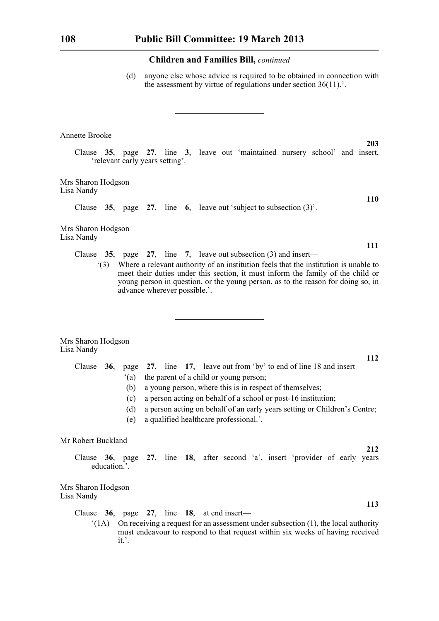(d) anyone else whose advice is required to be obtained in connection with the assessment by virtue of regulations under section 36(11).'.

# Annette Brooke

Clause **35**, page **27**, line **3**, leave out 'maintained nursery school' and insert, 'relevant early years setting'.

Mrs Sharon Hodgson Lisa Nandy

Clause **35**, page **27**, line **6**, leave out 'subject to subsection (3)'.

Mrs Sharon Hodgson Lisa Nandy

- Clause **35**, page **27**, line **7**, leave out subsection (3) and insert—
	- '(3) Where a relevant authority of an institution feels that the institution is unable to meet their duties under this section, it must inform the family of the child or young person in question, or the young person, as to the reason for doing so, in advance wherever possible.'.

|            | Mrs Sharon Hodgson |
|------------|--------------------|
| Lisa Nandy |                    |

|  |     | Clause 36, page 27, line 17, leave out from 'by' to end of line 18 and insert— |  |  |  |  |  |  |  |  |  |
|--|-----|--------------------------------------------------------------------------------|--|--|--|--|--|--|--|--|--|
|  | (a) | the parent of a child or young person;                                         |  |  |  |  |  |  |  |  |  |
|  | (b) | a young person, where this is in respect of themselves;                        |  |  |  |  |  |  |  |  |  |
|  | (c) | a person acting on behalf of a school or post-16 institution;                  |  |  |  |  |  |  |  |  |  |
|  | (d) | a person acting on behalf of an early years setting or Children's Centre;      |  |  |  |  |  |  |  |  |  |
|  | (e) | a qualified healthcare professional                                            |  |  |  |  |  |  |  |  |  |

#### Mr Robert Buckland

Clause **36**, page **27**, line **18**, after second 'a', insert 'provider of early years education.'.

Mrs Sharon Hodgson Lisa Nandy

Clause **36**, page **27**, line **18**, at end insert—

 $'(1A)$  On receiving a request for an assessment under subsection (1), the local authority must endeavour to respond to that request within six weeks of having received it.'.

**203**

**110**

**111**

**112**

**212**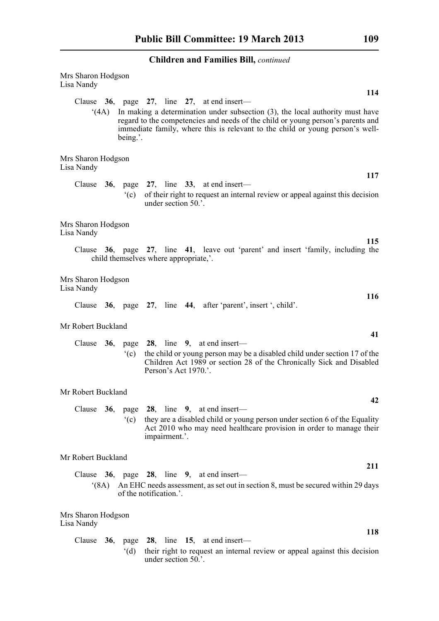| Mrs Sharon Hodgson<br>Lisa Nandy<br>114                                                                                                                                                                                                                                                                                 |  |
|-------------------------------------------------------------------------------------------------------------------------------------------------------------------------------------------------------------------------------------------------------------------------------------------------------------------------|--|
| Clause 36, page 27, line 27, at end insert—<br>In making a determination under subsection $(3)$ , the local authority must have<br>(4A)<br>regard to the competencies and needs of the child or young person's parents and<br>immediate family, where this is relevant to the child or young person's well-<br>being.'. |  |
| Mrs Sharon Hodgson<br>Lisa Nandy                                                                                                                                                                                                                                                                                        |  |
| 117<br>Clause $36$ , page $27$ , line $33$ , at end insert—<br>of their right to request an internal review or appeal against this decision<br>$\degree$ (c)<br>under section 50.'.                                                                                                                                     |  |
| Mrs Sharon Hodgson<br>Lisa Nandy                                                                                                                                                                                                                                                                                        |  |
| 115<br>Clause 36, page 27, line 41, leave out 'parent' and insert 'family, including the<br>child themselves where appropriate,'.                                                                                                                                                                                       |  |
| Mrs Sharon Hodgson<br>Lisa Nandy                                                                                                                                                                                                                                                                                        |  |
| <b>116</b><br>Clause 36, page 27, line 44, after 'parent', insert ', child'.                                                                                                                                                                                                                                            |  |
| Mr Robert Buckland<br>41                                                                                                                                                                                                                                                                                                |  |
| page 28, line 9, at end insert-<br>Clause $36$ ,<br>the child or young person may be a disabled child under section 17 of the<br>$\degree$ (c)<br>Children Act 1989 or section 28 of the Chronically Sick and Disabled<br>Person's Act 1970.'.                                                                          |  |
| Mr Robert Buckland                                                                                                                                                                                                                                                                                                      |  |
| 42<br>28, line $9$ , at end insert—<br>Clause<br>36,<br>page<br>they are a disabled child or young person under section 6 of the Equality<br>(c)<br>Act 2010 who may need healthcare provision in order to manage their<br>impairment.'.                                                                                |  |
| Mr Robert Buckland                                                                                                                                                                                                                                                                                                      |  |
| 211<br>Clause $36$ ,<br>page 28, line 9, at end insert-<br>An EHC needs assessment, as set out in section 8, must be secured within 29 days<br>(8A)<br>of the notification.'.                                                                                                                                           |  |
| Mrs Sharon Hodgson<br>Lisa Nandy                                                                                                                                                                                                                                                                                        |  |
| 118<br>page 28, line 15, at end insert—<br>Clause $36$ ,<br>their right to request an internal review or appeal against this decision<br>$^{\circ}$ (d)<br>under section 50.'.                                                                                                                                          |  |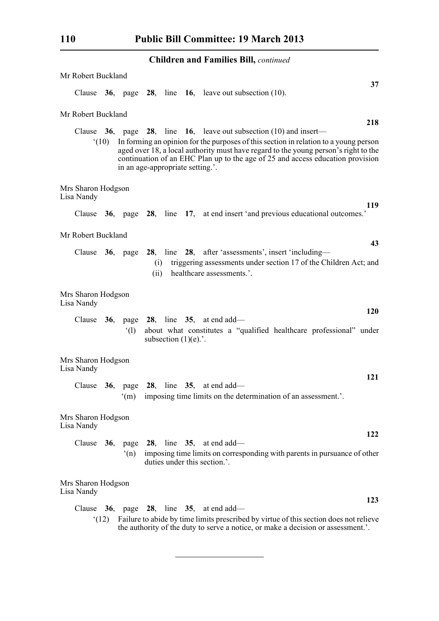| Mr Robert Buckland               |                |                                  |             |                         |                                                                                                                                                                                                                                                                                                                                              |
|----------------------------------|----------------|----------------------------------|-------------|-------------------------|----------------------------------------------------------------------------------------------------------------------------------------------------------------------------------------------------------------------------------------------------------------------------------------------------------------------------------------------|
|                                  |                |                                  |             |                         | 37<br>Clause $36$ , page $28$ , line $16$ , leave out subsection (10).                                                                                                                                                                                                                                                                       |
| Mr Robert Buckland               |                |                                  |             |                         |                                                                                                                                                                                                                                                                                                                                              |
|                                  | $^{\circ}(10)$ | in an age-appropriate setting.'. |             |                         | 218<br>Clause 36, page 28, line 16, leave out subsection $(10)$ and insert—<br>In forming an opinion for the purposes of this section in relation to a young person<br>aged over 18, a local authority must have regard to the young person's right to the<br>continuation of an EHC Plan up to the age of 25 and access education provision |
| Mrs Sharon Hodgson<br>Lisa Nandy |                |                                  |             |                         |                                                                                                                                                                                                                                                                                                                                              |
|                                  |                |                                  |             |                         | 119<br>Clause 36, page 28, line 17, at end insert 'and previous educational outcomes.'                                                                                                                                                                                                                                                       |
| Mr Robert Buckland               |                |                                  |             |                         | 43                                                                                                                                                                                                                                                                                                                                           |
| Clause 36, page                  |                |                                  | (i)<br>(ii) |                         | 28, line 28, after 'assessments', insert 'including-<br>triggering assessments under section 17 of the Children Act; and<br>healthcare assessments.'.                                                                                                                                                                                        |
| Mrs Sharon Hodgson<br>Lisa Nandy |                |                                  |             |                         |                                                                                                                                                                                                                                                                                                                                              |
|                                  |                | $^{\circ}$ (1)                   |             | subsection $(1)(e)$ .'. | <b>120</b><br>Clause 36, page 28, line 35, at end add—<br>about what constitutes a "qualified healthcare professional" under                                                                                                                                                                                                                 |
| Mrs Sharon Hodgson<br>Lisa Nandy |                |                                  |             |                         |                                                                                                                                                                                                                                                                                                                                              |
| Clause                           |                | $36$ , page<br>(m)               |             |                         | 121<br>28, line $35$ , at end add—<br>imposing time limits on the determination of an assessment.'.                                                                                                                                                                                                                                          |
| Mrs Sharon Hodgson<br>Lisa Nandy |                |                                  |             |                         |                                                                                                                                                                                                                                                                                                                                              |
| Clause $36$ ,                    |                | (n)                              |             |                         | 122<br>page 28, line 35, at end add—<br>imposing time limits on corresponding with parents in pursuance of other<br>duties under this section.'.                                                                                                                                                                                             |
| Mrs Sharon Hodgson<br>Lisa Nandy |                |                                  |             |                         |                                                                                                                                                                                                                                                                                                                                              |
| Clause                           | (12)           |                                  |             |                         | 123<br><b>36</b> , page <b>28</b> , line <b>35</b> , at end add—<br>Failure to abide by time limits prescribed by virtue of this section does not relieve<br>the authority of the duty to serve a notice, or make a decision or assessment.'.                                                                                                |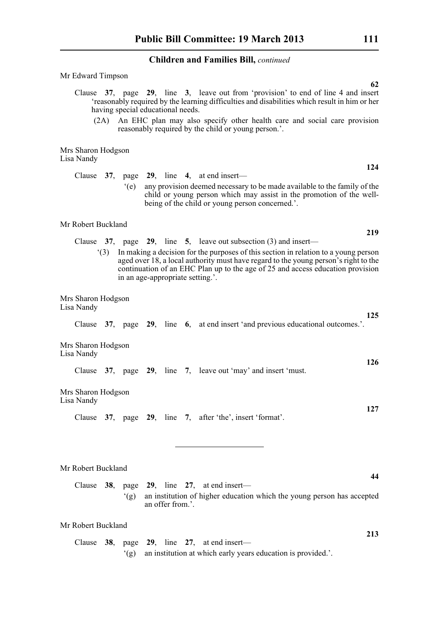| Mr Edward Timpson<br>62                                                                                                                                                                                                                                                                                                                                          |
|------------------------------------------------------------------------------------------------------------------------------------------------------------------------------------------------------------------------------------------------------------------------------------------------------------------------------------------------------------------|
| Clause 37, page 29, line 3, leave out from 'provision' to end of line 4 and insert<br>'reasonably required by the learning difficulties and disabilities which result in him or her<br>having special educational needs.<br>(2A) An EHC plan may also specify other health care and social care provision<br>reasonably required by the child or young person.'. |
| Mrs Sharon Hodgson                                                                                                                                                                                                                                                                                                                                               |
| Lisa Nandy<br>124                                                                                                                                                                                                                                                                                                                                                |
| Clause $37$ , page $29$ , line 4, at end insert—<br>$\degree$ (e)<br>any provision deemed necessary to be made available to the family of the<br>child or young person which may assist in the promotion of the well-<br>being of the child or young person concerned.'.                                                                                         |
| Mr Robert Buckland                                                                                                                                                                                                                                                                                                                                               |
| 219<br>Clause $37$ , page $29$ , line $5$ , leave out subsection (3) and insert—                                                                                                                                                                                                                                                                                 |
| In making a decision for the purposes of this section in relation to a young person<br>(3)<br>aged over 18, a local authority must have regard to the young person's right to the<br>continuation of an EHC Plan up to the age of 25 and access education provision<br>in an age-appropriate setting.'.                                                          |
| Mrs Sharon Hodgson<br>Lisa Nandy                                                                                                                                                                                                                                                                                                                                 |
| 125<br>Clause 37, page 29, line 6, at end insert 'and previous educational outcomes.'.                                                                                                                                                                                                                                                                           |
| Mrs Sharon Hodgson<br>Lisa Nandy                                                                                                                                                                                                                                                                                                                                 |
| 126<br>Clause 37, page 29, line 7, leave out 'may' and insert 'must.                                                                                                                                                                                                                                                                                             |
| Mrs Sharon Hodgson<br>Lisa Nandy                                                                                                                                                                                                                                                                                                                                 |
| 127<br>Clause 37, page 29, line 7, after 'the', insert 'format'.                                                                                                                                                                                                                                                                                                 |
|                                                                                                                                                                                                                                                                                                                                                                  |
| Mr Robert Buckland                                                                                                                                                                                                                                                                                                                                               |
| 44<br>Clause $38$ , page $29$ , line $27$ , at end insert—                                                                                                                                                                                                                                                                                                       |
| an institution of higher education which the young person has accepted<br>(g)<br>an offer from.'.                                                                                                                                                                                                                                                                |
| Mr Robert Buckland                                                                                                                                                                                                                                                                                                                                               |
| 213<br>Clause $38$ , page $29$ , line $27$ , at end insert—<br>an institution at which early years education is provided.'.<br>(g)                                                                                                                                                                                                                               |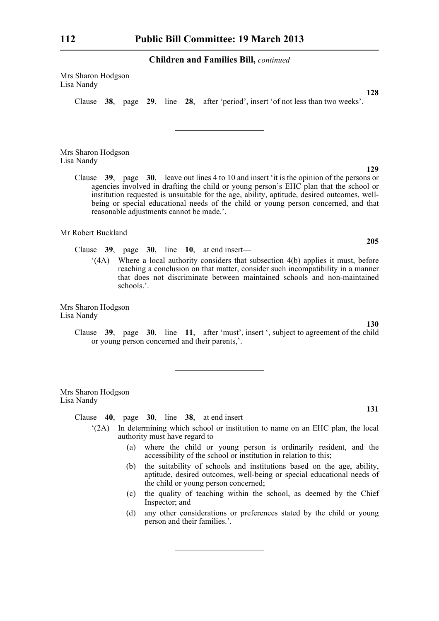Mrs Sharon Hodgson Lisa Nandy

Clause **38**, page **29**, line **28**, after 'period', insert 'of not less than two weeks'.

Mrs Sharon Hodgson Lisa Nandy

> Clause **39**, page **30**, leave out lines 4 to 10 and insert 'it is the opinion of the persons or agencies involved in drafting the child or young person's EHC plan that the school or institution requested is unsuitable for the age, ability, aptitude, desired outcomes, wellbeing or special educational needs of the child or young person concerned, and that reasonable adjustments cannot be made.'.

Mr Robert Buckland

Clause **39**, page **30**, line **10**, at end insert—

'(4A) Where a local authority considers that subsection 4(b) applies it must, before reaching a conclusion on that matter, consider such incompatibility in a manner that does not discriminate between maintained schools and non-maintained schools.'.

Mrs Sharon Hodgson Lisa Nandy

> Clause **39**, page **30**, line **11**, after 'must', insert ', subject to agreement of the child or young person concerned and their parents,'.

Mrs Sharon Hodgson Lisa Nandy

Clause **40**, page **30**, line **38**, at end insert—

- '(2A) In determining which school or institution to name on an EHC plan, the local authority must have regard to—
	- (a) where the child or young person is ordinarily resident, and the accessibility of the school or institution in relation to this;
	- (b) the suitability of schools and institutions based on the age, ability, aptitude, desired outcomes, well-being or special educational needs of the child or young person concerned;
	- (c) the quality of teaching within the school, as deemed by the Chief Inspector; and
	- (d) any other considerations or preferences stated by the child or young person and their families.'.

**129**

**205**

**128**

**130**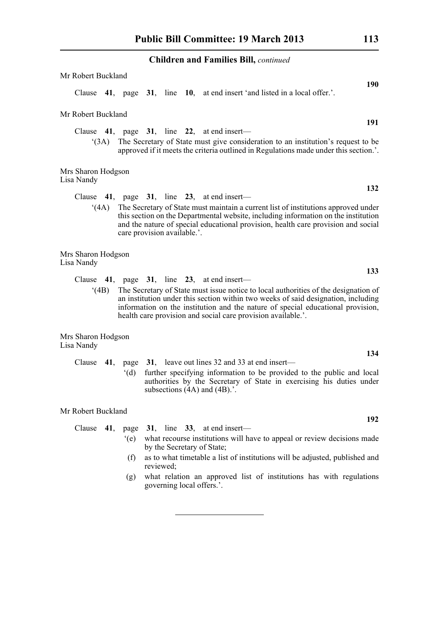| Mr Robert Buckland                                                                                                                                                                                                                                                                                                                  |
|-------------------------------------------------------------------------------------------------------------------------------------------------------------------------------------------------------------------------------------------------------------------------------------------------------------------------------------|
| 190<br>Clause 41, page 31, line 10, at end insert 'and listed in a local offer.'.                                                                                                                                                                                                                                                   |
| Mr Robert Buckland                                                                                                                                                                                                                                                                                                                  |
| 191<br>Clause $41$ , page $31$ , line $22$ , at end insert—                                                                                                                                                                                                                                                                         |
| The Secretary of State must give consideration to an institution's request to be<br>(3A)<br>approved if it meets the criteria outlined in Regulations made under this section.'.                                                                                                                                                    |
| Mrs Sharon Hodgson<br>Lisa Nandy<br>132                                                                                                                                                                                                                                                                                             |
| Clause $41$ , page $31$ , line $23$ , at end insert—                                                                                                                                                                                                                                                                                |
| The Secretary of State must maintain a current list of institutions approved under<br>(4A)<br>this section on the Departmental website, including information on the institution<br>and the nature of special educational provision, health care provision and social<br>care provision available.'.                                |
| Mrs Sharon Hodgson<br>Lisa Nandy                                                                                                                                                                                                                                                                                                    |
| 133<br>Clause $41$ , page $31$ , line $23$ , at end insert—                                                                                                                                                                                                                                                                         |
| (4B)<br>The Secretary of State must issue notice to local authorities of the designation of<br>an institution under this section within two weeks of said designation, including<br>information on the institution and the nature of special educational provision,<br>health care provision and social care provision available.'. |
| Mrs Sharon Hodgson<br>Lisa Nandy                                                                                                                                                                                                                                                                                                    |
| 134<br>page 31, leave out lines 32 and 33 at end insert—<br>Clause $41$ ,<br>further specifying information to be provided to the public and local<br>$^{\circ}$ (d)<br>authorities by the Secretary of State in exercising his duties under<br>subsections $(4A)$ and $(4B)$ .'.                                                   |
| Mr Robert Buckland                                                                                                                                                                                                                                                                                                                  |
| 192<br>41, page $31$ , line $33$ , at end insert—<br>Clause                                                                                                                                                                                                                                                                         |

|  | what recourse institutions will have to appeal or review decisions made<br>by the Secretary of State; |
|--|-------------------------------------------------------------------------------------------------------|
|  |                                                                                                       |
|  | as to what timetable a list of institutions will be adjusted, published and<br>reviewed;              |

(g) what relation an approved list of institutions has with regulations governing local offers.'.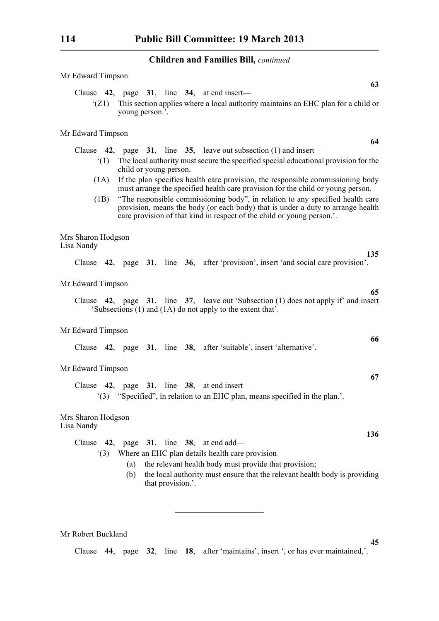**63**

| Clause $42$ , page $31$ , line $34$ , at end insert—<br>This section applies where a local authority maintains an EHC plan for a child or<br>(Z1)<br>young person.'.                                                                                |
|-----------------------------------------------------------------------------------------------------------------------------------------------------------------------------------------------------------------------------------------------------|
| Mr Edward Timpson<br>64                                                                                                                                                                                                                             |
| Clause $\,$ 42, page $\,$ 31, line $\,$ 35, leave out subsection (1) and insert—                                                                                                                                                                    |
| The local authority must secure the specified special educational provision for the<br>(1)<br>child or young person.                                                                                                                                |
| If the plan specifies health care provision, the responsible commissioning body<br>(1A)<br>must arrange the specified health care provision for the child or young person.                                                                          |
| "The responsible commissioning body", in relation to any specified health care<br>(1B)<br>provision, means the body (or each body) that is under a duty to arrange health<br>care provision of that kind in respect of the child or young person.'. |
| Mrs Sharon Hodgson<br>Lisa Nandy                                                                                                                                                                                                                    |
| 135<br>Clause 42, page 31, line 36, after 'provision', insert 'and social care provision'.                                                                                                                                                          |
| Mr Edward Timpson<br>65                                                                                                                                                                                                                             |
| Clause 42, page 31, line 37, leave out 'Subsection (1) does not apply if' and insert<br>'Subsections (1) and (1A) do not apply to the extent that'.                                                                                                 |
| Mr Edward Timpson<br>66                                                                                                                                                                                                                             |
| Clause 42, page 31, line 38, after 'suitable', insert 'alternative'.                                                                                                                                                                                |
| Mr Edward Timpson<br>67                                                                                                                                                                                                                             |
| Clause $42$ , page $31$ , line $38$ , at end insert—<br>"(3) "Specified", in relation to an EHC plan, means specified in the plan."                                                                                                                 |
| Mrs Sharon Hodgson<br>Lisa Nandy                                                                                                                                                                                                                    |
| 136<br>Clause $42$ ,<br>page 31, line 38, at end add—                                                                                                                                                                                               |
| Where an EHC plan details health care provision—<br>(3)                                                                                                                                                                                             |
| the relevant health body must provide that provision;<br>(a)                                                                                                                                                                                        |
| the local authority must ensure that the relevant health body is providing<br>(b)<br>that provision.'.                                                                                                                                              |
|                                                                                                                                                                                                                                                     |

Mr Robert Buckland

**45** Clause **44**, page **32**, line **18**, after 'maintains', insert ', or has ever maintained,'.

Mr Edward Timpson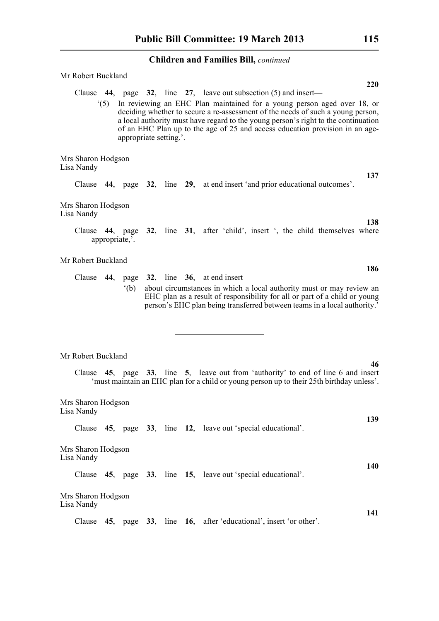| Mr Robert Buckland               |                        |             | <b>220</b>                                                                                                                                                                                                                                                                                                                                                                                                           |
|----------------------------------|------------------------|-------------|----------------------------------------------------------------------------------------------------------------------------------------------------------------------------------------------------------------------------------------------------------------------------------------------------------------------------------------------------------------------------------------------------------------------|
| (5)                              | appropriate setting.'. |             | Clause $\,$ 44, page $\,$ 32, line $\,$ 27, leave out subsection (5) and insert—<br>In reviewing an EHC Plan maintained for a young person aged over 18, or<br>deciding whether to secure a re-assessment of the needs of such a young person,<br>a local authority must have regard to the young person's right to the continuation<br>of an EHC Plan up to the age of 25 and access education provision in an age- |
| Mrs Sharon Hodgson<br>Lisa Nandy |                        |             |                                                                                                                                                                                                                                                                                                                                                                                                                      |
|                                  |                        |             | 137<br>Clause 44, page 32, line 29, at end insert 'and prior educational outcomes'.                                                                                                                                                                                                                                                                                                                                  |
| Mrs Sharon Hodgson<br>Lisa Nandy |                        |             |                                                                                                                                                                                                                                                                                                                                                                                                                      |
| appropriate,'.                   |                        |             | 138<br>Clause 44, page 32, line 31, after 'child', insert ', the child themselves where                                                                                                                                                                                                                                                                                                                              |
| Mr Robert Buckland               |                        |             | 186                                                                                                                                                                                                                                                                                                                                                                                                                  |
|                                  | $^{\circ}$ (b)         |             | Clause $44$ , page $32$ , line $36$ , at end insert—<br>about circumstances in which a local authority must or may review an<br>EHC plan as a result of responsibility for all or part of a child or young<br>person's EHC plan being transferred between teams in a local authority.'                                                                                                                               |
| Mr Robert Buckland               |                        |             |                                                                                                                                                                                                                                                                                                                                                                                                                      |
|                                  |                        |             | 46<br>Clause 45, page 33, line 5, leave out from 'authority' to end of line 6 and insert<br>'must maintain an EHC plan for a child or young person up to their 25th birthday unless'.                                                                                                                                                                                                                                |
| Mrs Sharon Hodgson<br>Lisa Nandy |                        |             |                                                                                                                                                                                                                                                                                                                                                                                                                      |
| Clause                           |                        |             | 139<br>45, page 33, line 12, leave out 'special educational'.                                                                                                                                                                                                                                                                                                                                                        |
| Mrs Sharon Hodgson<br>Lisa Nandy |                        |             |                                                                                                                                                                                                                                                                                                                                                                                                                      |
|                                  |                        |             | 140<br>Clause 45, page 33, line 15, leave out 'special educational'.                                                                                                                                                                                                                                                                                                                                                 |
| Mrs Sharon Hodgson<br>Lisa Nandy |                        |             |                                                                                                                                                                                                                                                                                                                                                                                                                      |
| Clause<br>45,                    | 33,<br>page            | line<br>16, | 141<br>after 'educational', insert 'or other'.                                                                                                                                                                                                                                                                                                                                                                       |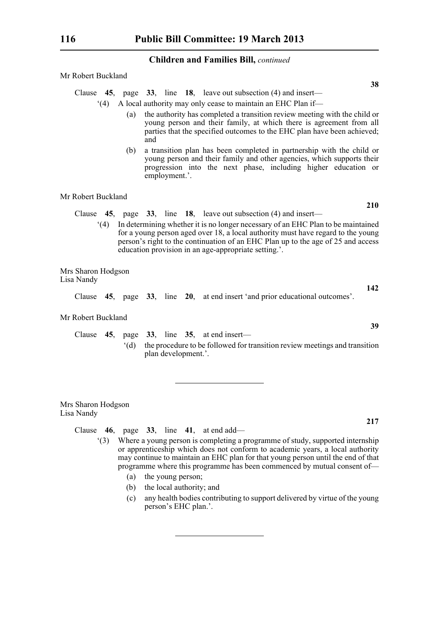Mr Robert Buckland

Clause **45**, page **33**, line **18**, leave out subsection (4) and insert—

'(4) A local authority may only cease to maintain an EHC Plan if—

- (a) the authority has completed a transition review meeting with the child or young person and their family, at which there is agreement from all parties that the specified outcomes to the EHC plan have been achieved; and
- (b) a transition plan has been completed in partnership with the child or young person and their family and other agencies, which supports their progression into the next phase, including higher education or employment.'.

Mr Robert Buckland

- Clause **45**, page **33**, line **18**, leave out subsection (4) and insert—
	- '(4) In determining whether it is no longer necessary of an EHC Plan to be maintained for a young person aged over 18, a local authority must have regard to the young person's right to the continuation of an EHC Plan up to the age of 25 and access education provision in an age-appropriate setting.'.

Mrs Sharon Hodgson Lisa Nandy

Clause **45**, page **33**, line **20**, at end insert 'and prior educational outcomes'.

Mr Robert Buckland

Clause **45**, page **33**, line **35**, at end insert— '(d) the procedure to be followed for transition review meetings and transition plan development.'.

Mrs Sharon Hodgson Lisa Nandy

Clause **46**, page **33**, line **41**, at end add—

- '(3) Where a young person is completing a programme of study, supported internship or apprenticeship which does not conform to academic years, a local authority may continue to maintain an EHC plan for that young person until the end of that programme where this programme has been commenced by mutual consent of—
	- (a) the young person;
	- (b) the local authority; and
	- (c) any health bodies contributing to support delivered by virtue of the young person's EHC plan.'.

**38**

**39**

**217**

**142**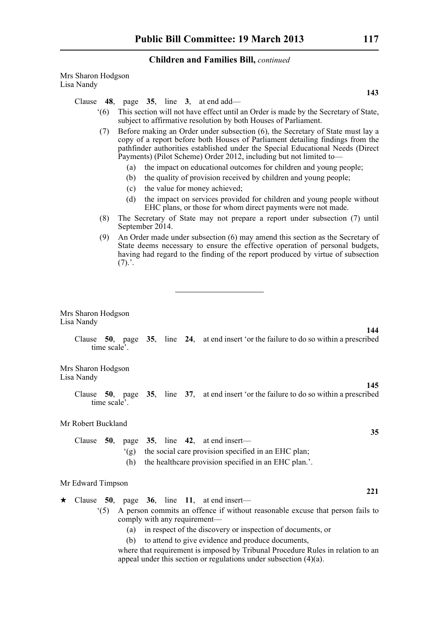Mrs Sharon Hodgson Lisa Nandy

Clause **48**, page **35**, line **3**, at end add—

- '(6) This section will not have effect until an Order is made by the Secretary of State, subject to affirmative resolution by both Houses of Parliament.
- (7) Before making an Order under subsection (6), the Secretary of State must lay a copy of a report before both Houses of Parliament detailing findings from the pathfinder authorities established under the Special Educational Needs (Direct Payments) (Pilot Scheme) Order 2012, including but not limited to—
	- (a) the impact on educational outcomes for children and young people;
	- (b) the quality of provision received by children and young people;
	- (c) the value for money achieved;
	- (d) the impact on services provided for children and young people without EHC plans, or those for whom direct payments were not made.
- (8) The Secretary of State may not prepare a report under subsection (7) until September 2014.
- (9) An Order made under subsection (6) may amend this section as the Secretary of State deems necessary to ensure the effective operation of personal budgets, having had regard to the finding of the report produced by virtue of subsection  $(7).'.$

Mrs Sharon Hodgson Lisa Nandy

> Clause **50**, page **35**, line **24**, at end insert 'or the failure to do so within a prescribed time scale'.

Mrs Sharon Hodgson Lisa Nandy

> Clause **50**, page **35**, line **37**, at end insert 'or the failure to do so within a prescribed time scale'.

Mr Robert Buckland

|  |  |  | Clause 50, page 35, line 42, at end insert—              |
|--|--|--|----------------------------------------------------------|
|  |  |  | (g) the social care provision specified in an EHC plan;  |
|  |  |  | (h) the healthcare provision specified in an EHC plan.'. |

#### Mr Edward Timpson

- $\star$  Clause 50, page 36, line 11, at end insert—
	- '(5) A person commits an offence if without reasonable excuse that person fails to comply with any requirement—
		- (a) in respect of the discovery or inspection of documents, or
		- (b) to attend to give evidence and produce documents,

where that requirement is imposed by Tribunal Procedure Rules in relation to an appeal under this section or regulations under subsection  $(4)(a)$ .

**143**

**35**

**145**

**144**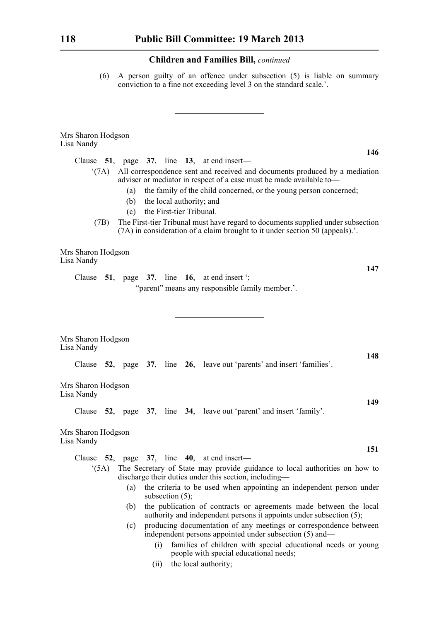(6) A person guilty of an offence under subsection (5) is liable on summary conviction to a fine not exceeding level 3 on the standard scale.'.

| Mrs Sharon Hodgson<br>Lisa Nandy                                                                                                                                                                                                                 |
|--------------------------------------------------------------------------------------------------------------------------------------------------------------------------------------------------------------------------------------------------|
| 146<br>Clause $51$ , page $37$ , line $13$ , at end insert—                                                                                                                                                                                      |
| All correspondence sent and received and documents produced by a mediation<br>$^{\circ}$ (7A)<br>adviser or mediator in respect of a case must be made available to-<br>the family of the child concerned, or the young person concerned;<br>(a) |
| (b) the local authority; and<br>the First-tier Tribunal.<br>(c)                                                                                                                                                                                  |
| The First-tier Tribunal must have regard to documents supplied under subsection<br>(7B)<br>(7A) in consideration of a claim brought to it under section 50 (appeals).'.                                                                          |
| Mrs Sharon Hodgson<br>Lisa Nandy                                                                                                                                                                                                                 |
| 147<br>Clause $51$ , page $37$ , line $16$ , at end insert ';                                                                                                                                                                                    |
| "parent" means any responsible family member.".                                                                                                                                                                                                  |
|                                                                                                                                                                                                                                                  |
| Mrs Sharon Hodgson<br>Lisa Nandy                                                                                                                                                                                                                 |
| 148<br>Clause 52, page 37, line 26, leave out 'parents' and insert 'families'.                                                                                                                                                                   |
| Mrs Sharon Hodgson<br>Lisa Nandy                                                                                                                                                                                                                 |
| 149<br>Clause 52, page 37, line 34, leave out 'parent' and insert 'family'.                                                                                                                                                                      |
| Mrs Sharon Hodgson<br>Lisa Nandy                                                                                                                                                                                                                 |
| 151<br>Clause 52, page 37, line 40, at end insert-                                                                                                                                                                                               |
| The Secretary of State may provide guidance to local authorities on how to<br>(5A)<br>discharge their duties under this section, including—                                                                                                      |
| the criteria to be used when appointing an independent person under<br>(a)<br>subsection $(5)$ ;                                                                                                                                                 |
| the publication of contracts or agreements made between the local<br>(b)<br>authority and independent persons it appoints under subsection (5);                                                                                                  |
| producing documentation of any meetings or correspondence between<br>(c)<br>independent persons appointed under subsection (5) and—                                                                                                              |
| families of children with special educational needs or young<br>(i)<br>people with special educational needs;                                                                                                                                    |
| the local authority;<br>(ii)                                                                                                                                                                                                                     |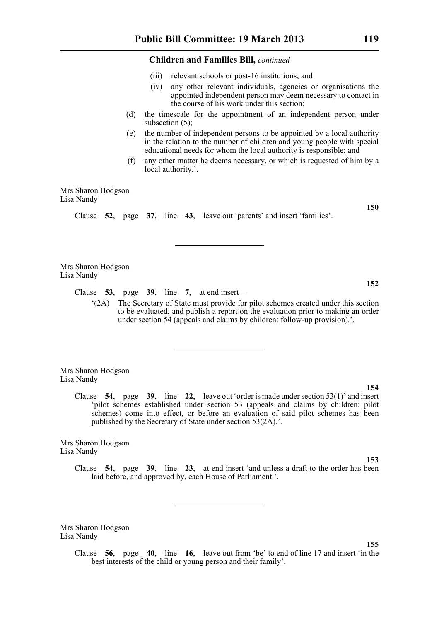- (iii) relevant schools or post-16 institutions; and
- (iv) any other relevant individuals, agencies or organisations the appointed independent person may deem necessary to contact in the course of his work under this section;
- (d) the timescale for the appointment of an independent person under subsection (5);
- (e) the number of independent persons to be appointed by a local authority in the relation to the number of children and young people with special educational needs for whom the local authority is responsible; and
- (f) any other matter he deems necessary, or which is requested of him by a local authority.'.

Mrs Sharon Hodgson Lisa Nandy

Clause **52**, page **37**, line **43**, leave out 'parents' and insert 'families'.

Mrs Sharon Hodgson Lisa Nandy

Clause **53**, page **39**, line **7**, at end insert—

'(2A) The Secretary of State must provide for pilot schemes created under this section to be evaluated, and publish a report on the evaluation prior to making an order under section 54 (appeals and claims by children: follow-up provision).'.

Mrs Sharon Hodgson Lisa Nandy

> Clause **54**, page **39**, line **22**, leave out 'order is made under section 53(1)' and insert 'pilot schemes established under section 53 (appeals and claims by children: pilot schemes) come into effect, or before an evaluation of said pilot schemes has been published by the Secretary of State under section 53(2A).'.

Mrs Sharon Hodgson Lisa Nandy

> Clause **54**, page **39**, line **23**, at end insert 'and unless a draft to the order has been laid before, and approved by, each House of Parliament.'.

Mrs Sharon Hodgson Lisa Nandy

> Clause **56**, page **40**, line **16**, leave out from 'be' to end of line 17 and insert 'in the best interests of the child or young person and their family'.

**152**

**150**

**153**

**155**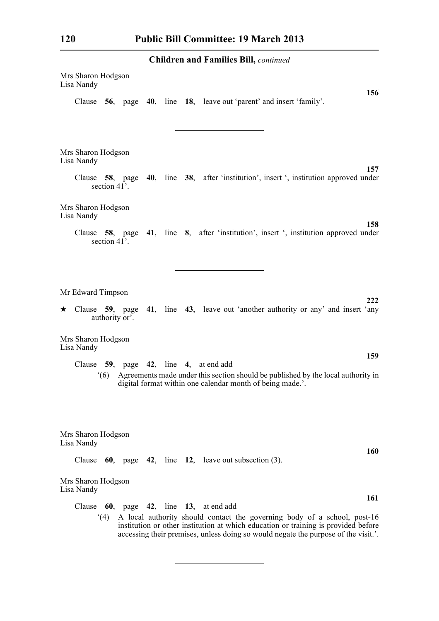| Mrs Sharon Hodgson<br>Lisa Nandy |                           |  |  | 156                                                                                                                                                                                                                                                  |
|----------------------------------|---------------------------|--|--|------------------------------------------------------------------------------------------------------------------------------------------------------------------------------------------------------------------------------------------------------|
|                                  |                           |  |  | Clause 56, page 40, line 18, leave out 'parent' and insert 'family'.                                                                                                                                                                                 |
| Mrs Sharon Hodgson<br>Lisa Nandy |                           |  |  |                                                                                                                                                                                                                                                      |
| Clause                           | section 41 <sup>2</sup> . |  |  | 157<br><b>58</b> , page <b>40</b> , line <b>38</b> , after 'institution', insert ', institution approved under                                                                                                                                       |
| Mrs Sharon Hodgson<br>Lisa Nandy |                           |  |  | 158                                                                                                                                                                                                                                                  |
|                                  | section 41'.              |  |  | Clause 58, page 41, line 8, after 'institution', insert ', institution approved under                                                                                                                                                                |
| Mr Edward Timpson                |                           |  |  | 222                                                                                                                                                                                                                                                  |
|                                  | authority or'.            |  |  | $\star$ Clause 59, page 41, line 43, leave out 'another authority or any' and insert 'any'                                                                                                                                                           |
| Mrs Sharon Hodgson<br>Lisa Nandy |                           |  |  | 159                                                                                                                                                                                                                                                  |
|                                  | (6)                       |  |  | Clause $59$ , page $42$ , line $4$ , at end add—<br>Agreements made under this section should be published by the local authority in<br>digital format within one calendar month of being made.'.                                                    |
| Mrs Sharon Hodgson<br>Lisa Nandy |                           |  |  | <b>160</b>                                                                                                                                                                                                                                           |
| Clause                           |                           |  |  | 60, page 42, line 12, leave out subsection $(3)$ .                                                                                                                                                                                                   |
| Mrs Sharon Hodgson<br>Lisa Nandy |                           |  |  |                                                                                                                                                                                                                                                      |
| Clause                           |                           |  |  | 161<br>60, page 42, line 13, at end add—                                                                                                                                                                                                             |
|                                  | (4)                       |  |  | A local authority should contact the governing body of a school, post-16<br>institution or other institution at which education or training is provided before<br>accessing their premises, unless doing so would negate the purpose of the visit.'. |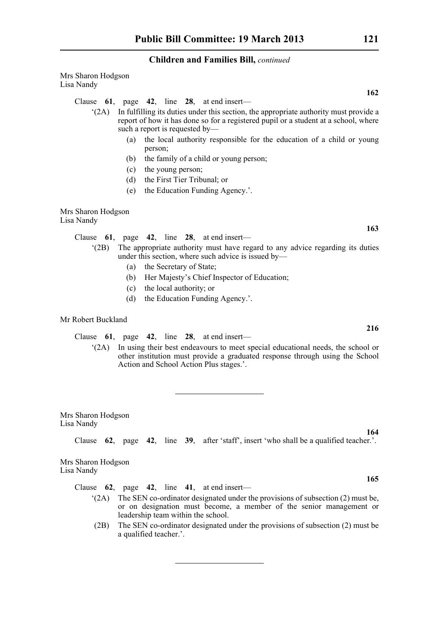Mrs Sharon Hodgson Lisa Nandy

Clause **61**, page **42**, line **28**, at end insert—

- '(2A) In fulfilling its duties under this section, the appropriate authority must provide a report of how it has done so for a registered pupil or a student at a school, where such a report is requested by—
	- (a) the local authority responsible for the education of a child or young person;
	- (b) the family of a child or young person;
	- (c) the young person;
	- (d) the First Tier Tribunal; or
	- (e) the Education Funding Agency.'.

Mrs Sharon Hodgson Lisa Nandy

Clause **61**, page **42**, line **28**, at end insert—

- '(2B) The appropriate authority must have regard to any advice regarding its duties under this section, where such advice is issued by—
	- (a) the Secretary of State;
	- (b) Her Majesty's Chief Inspector of Education;
	- (c) the local authority; or
	- (d) the Education Funding Agency.'.

# Mr Robert Buckland

Clause **61**, page **42**, line **28**, at end insert—

'(2A) In using their best endeavours to meet special educational needs, the school or other institution must provide a graduated response through using the School Action and School Action Plus stages.'.

Mrs Sharon Hodgson Lisa Nandy

Clause **62**, page **42**, line **39**, after 'staff', insert 'who shall be a qualified teacher.'.

Mrs Sharon Hodgson Lisa Nandy

Clause **62**, page **42**, line **41**, at end insert—

- '(2A) The SEN co-ordinator designated under the provisions of subsection (2) must be, or on designation must become, a member of the senior management or leadership team within the school.
- (2B) The SEN co-ordinator designated under the provisions of subsection (2) must be a qualified teacher.'.

**216**

**163**

**165**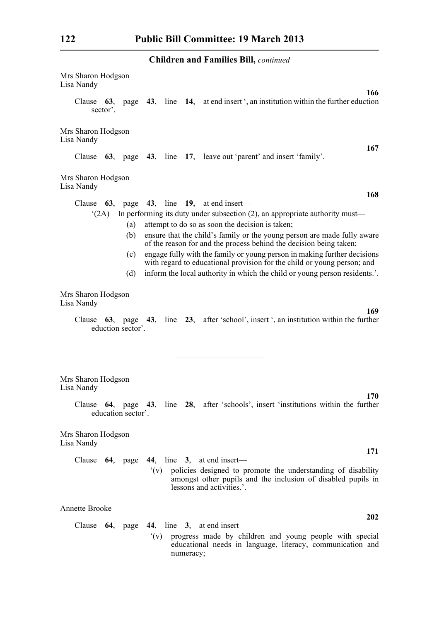| Mrs Sharon Hodgson<br>Lisa Nandy<br>166                                                                                                                                |
|------------------------------------------------------------------------------------------------------------------------------------------------------------------------|
| Clause 63, page 43, line 14, at end insert ', an institution within the further eduction<br>sector'.                                                                   |
| Mrs Sharon Hodgson<br>Lisa Nandy                                                                                                                                       |
| 167<br>Clause 63, page 43, line 17, leave out 'parent' and insert 'family'.                                                                                            |
| Mrs Sharon Hodgson<br>Lisa Nandy                                                                                                                                       |
| 168<br>63, page 43, line 19, at end insert—<br>Clause                                                                                                                  |
| In performing its duty under subsection $(2)$ , an appropriate authority must—<br>(2A)                                                                                 |
| attempt to do so as soon the decision is taken;<br>(a)                                                                                                                 |
| ensure that the child's family or the young person are made fully aware<br>(b)<br>of the reason for and the process behind the decision being taken;                   |
| engage fully with the family or young person in making further decisions<br>(c)<br>with regard to educational provision for the child or young person; and             |
| inform the local authority in which the child or young person residents.'.<br>(d)                                                                                      |
| Mrs Sharon Hodgson<br>Lisa Nandy<br>169                                                                                                                                |
| Clause 63, page 43, line 23, after 'school', insert ', an institution within the further<br>eduction sector'.                                                          |
| Mrs Sharon Hodgson<br>Lisa Nandy                                                                                                                                       |
| 170<br>Clause 64, page 43, line 28, after 'schools', insert 'institutions within the further<br>education sector'.                                                     |
|                                                                                                                                                                        |
| Mrs Sharon Hodgson<br>Lisa Nandy                                                                                                                                       |
| 171<br>Clause 64, page 44, line 3, at end insert—                                                                                                                      |
| policies designed to promote the understanding of disability<br>$(y)^{2}$<br>amongst other pupils and the inclusion of disabled pupils in<br>lessons and activities.'. |
| <b>Annette Brooke</b>                                                                                                                                                  |
| 202<br>Clause $64$ , page $44$ , line 3, at end insert—                                                                                                                |
| progress made by children and young people with special<br>$(y)^{2}$<br>educational needs in language, literacy, communication and<br>numeracy;                        |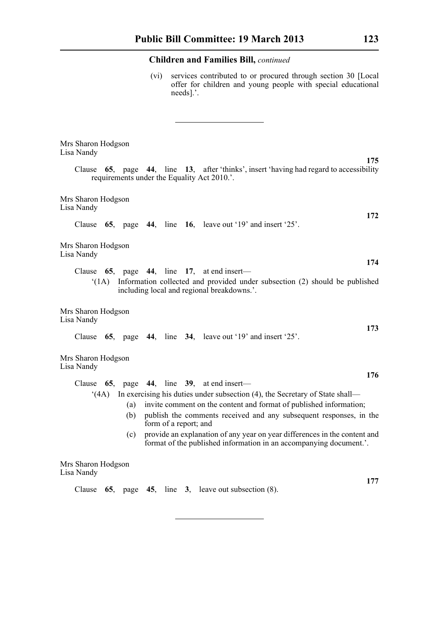(vi) services contributed to or procured through section 30 [Local offer for children and young people with special educational needs].'.

| Mrs Sharon Hodgson<br>Lisa Nandy<br>175                                                                                                                                                                                                        |
|------------------------------------------------------------------------------------------------------------------------------------------------------------------------------------------------------------------------------------------------|
| 44, line 13, after 'thinks', insert 'having had regard to accessibility<br>Clause<br><b>65.</b><br>page<br>requirements under the Equality Act 2010.'.                                                                                         |
| Mrs Sharon Hodgson<br>Lisa Nandy<br>172                                                                                                                                                                                                        |
| Clause $65$ , page $44$ , line $16$ , leave out '19' and insert '25'.                                                                                                                                                                          |
| Mrs Sharon Hodgson<br>Lisa Nandy                                                                                                                                                                                                               |
| 174<br>Clause $65$ , page $44$ , line 17, at end insert—                                                                                                                                                                                       |
| Information collected and provided under subsection (2) should be published<br>(1A)<br>including local and regional breakdowns.'.                                                                                                              |
| Mrs Sharon Hodgson<br>Lisa Nandy<br>173                                                                                                                                                                                                        |
| Clause $65$ , page $44$ , line $34$ , leave out '19' and insert '25'.                                                                                                                                                                          |
| Mrs Sharon Hodgson<br>Lisa Nandy<br>176                                                                                                                                                                                                        |
| 65, page 44, line 39, at end insert—<br>Clause                                                                                                                                                                                                 |
| In exercising his duties under subsection (4), the Secretary of State shall—<br>(4A)<br>invite comment on the content and format of published information;<br>(a)<br>publish the comments received and any subsequent responses, in the<br>(b) |
| form of a report; and                                                                                                                                                                                                                          |
| provide an explanation of any year on year differences in the content and<br>(c)<br>format of the published information in an accompanying document.'.                                                                                         |
| Mrs Sharon Hodgson<br>Lisa Nandy                                                                                                                                                                                                               |
| 177<br>Clause<br>page $45$ , line $3$ , leave out subsection $(8)$ .<br>65,                                                                                                                                                                    |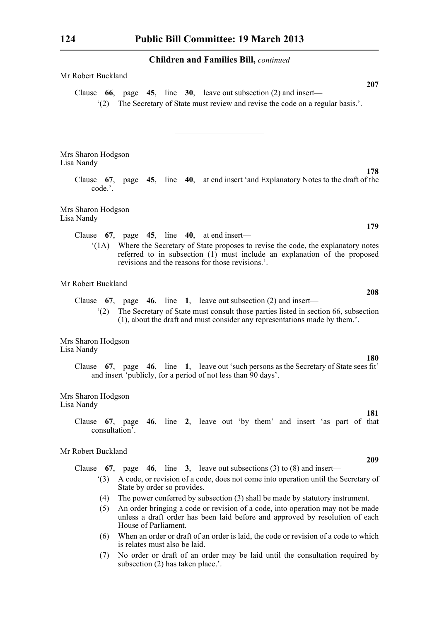| Mr Robert Buckland                                                                                                                                                                                                                                |
|---------------------------------------------------------------------------------------------------------------------------------------------------------------------------------------------------------------------------------------------------|
| 207<br>Clause $66$ , page $45$ , line $30$ , leave out subsection (2) and insert—<br>The Secretary of State must review and revise the code on a regular basis.'.<br>(2)                                                                          |
| Mrs Sharon Hodgson<br>Lisa Nandy<br>178                                                                                                                                                                                                           |
| Clause 67, page 45, line 40, at end insert 'and Explanatory Notes to the draft of the<br>code.'.                                                                                                                                                  |
| Mrs Sharon Hodgson<br>Lisa Nandy                                                                                                                                                                                                                  |
| 179<br>Clause $67$ , page $45$ , line $40$ , at end insert—                                                                                                                                                                                       |
| Where the Secretary of State proposes to revise the code, the explanatory notes<br>(1A)<br>referred to in subsection (1) must include an explanation of the proposed<br>revisions and the reasons for those revisions.'.                          |
| Mr Robert Buckland<br>208                                                                                                                                                                                                                         |
| Clause $67$ , page $46$ , line 1, leave out subsection (2) and insert—<br>The Secretary of State must consult those parties listed in section 66, subsection<br>(2)<br>(1), about the draft and must consider any representations made by them.'. |
| Mrs Sharon Hodgson<br>Lisa Nandy                                                                                                                                                                                                                  |
| <b>180</b><br>Clause 67, page 46, line 1, leave out 'such persons as the Secretary of State sees fit'<br>and insert 'publicly, for a period of not less than 90 days'.                                                                            |
| Mrs Sharon Hodgson<br>Lisa Nandy                                                                                                                                                                                                                  |
| 181<br>46, line 2, leave out 'by them' and insert 'as part of that<br>Clause<br>$67$ , page<br>consultation'.                                                                                                                                     |
| Mr Robert Buckland                                                                                                                                                                                                                                |
| 209<br>Clause 67, page 46, line 3, leave out subsections (3) to (8) and insert—                                                                                                                                                                   |
| A code, or revision of a code, does not come into operation until the Secretary of<br>(3)<br>State by order so provides.                                                                                                                          |
| The power conferred by subsection (3) shall be made by statutory instrument.<br>(4)                                                                                                                                                               |
| An order bringing a code or revision of a code, into operation may not be made<br>(5)<br>unless a draft order has been laid before and approved by resolution of each<br>House of Parliament.                                                     |
| $\mathbf{W}$ and an analyzed and $\mathbf{A}$ and $\mathbf{A}$ are analyzed as<br>Alizabeth anno<br>المتمارين ولالملاء<br>$\sqrt{2}$                                                                                                              |

- (6) When an order or draft of an order is laid, the code or revision of a code to which is relates must also be laid.
- (7) No order or draft of an order may be laid until the consultation required by subsection (2) has taken place.'.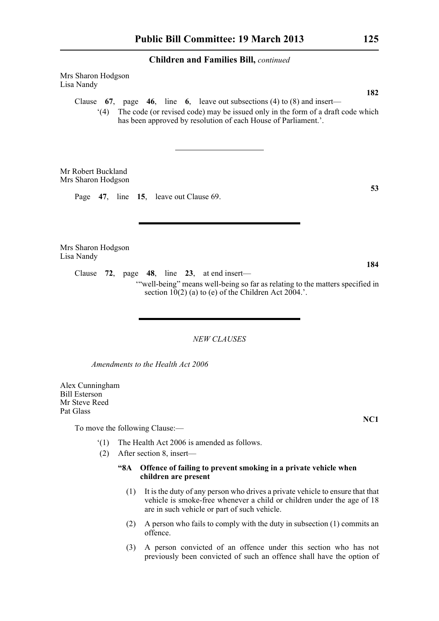Mrs Sharon Hodgson Lisa Nandy

> Clause **67**, page **46**, line **6**, leave out subsections (4) to (8) and insert— '(4) The code (or revised code) may be issued only in the form of a draft code which

> > has been approved by resolution of each House of Parliament.'.

Mr Robert Buckland Mrs Sharon Hodgson

Page **47**, line **15**, leave out Clause 69.

Mrs Sharon Hodgson Lisa Nandy

> Clause **72**, page **48**, line **23**, at end insert— '"well-being" means well-being so far as relating to the matters specified in section  $10(2)$  (a) to (e) of the Children Act 2004.'.

> > *NEW CLAUSES*

*Amendments to the Health Act 2006*

Alex Cunningham Bill Esterson Mr Steve Reed Pat Glass

To move the following Clause:—

- '(1) The Health Act 2006 is amended as follows.
- (2) After section 8, insert—

# **"8A Offence of failing to prevent smoking in a private vehicle when children are present**

- (1) It is the duty of any person who drives a private vehicle to ensure that that vehicle is smoke-free whenever a child or children under the age of 18 are in such vehicle or part of such vehicle.
- (2) A person who fails to comply with the duty in subsection (1) commits an offence.
- (3) A person convicted of an offence under this section who has not previously been convicted of such an offence shall have the option of

**182**

**NC1**

**53**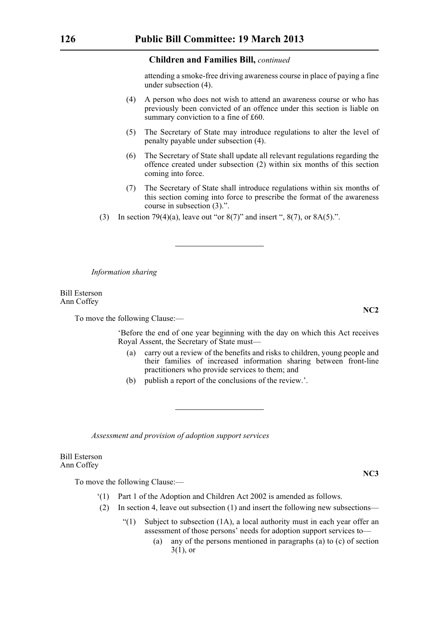attending a smoke-free driving awareness course in place of paying a fine under subsection (4).

- (4) A person who does not wish to attend an awareness course or who has previously been convicted of an offence under this section is liable on summary conviction to a fine of £60.
- (5) The Secretary of State may introduce regulations to alter the level of penalty payable under subsection (4).
- (6) The Secretary of State shall update all relevant regulations regarding the offence created under subsection (2) within six months of this section coming into force.
- (7) The Secretary of State shall introduce regulations within six months of this section coming into force to prescribe the format of the awareness course in subsection (3).".
- (3) In section 79(4)(a), leave out "or  $8(7)$ " and insert ",  $8(7)$ , or  $8A(5)$ .".

*Information sharing*

Bill Esterson Ann Coffey

To move the following Clause:—

'Before the end of one year beginning with the day on which this Act receives Royal Assent, the Secretary of State must—

- (a) carry out a review of the benefits and risks to children, young people and their families of increased information sharing between front-line practitioners who provide services to them; and
- (b) publish a report of the conclusions of the review.'.

*Assessment and provision of adoption support services*

Bill Esterson Ann Coffey

To move the following Clause:—

- '(1) Part 1 of the Adoption and Children Act 2002 is amended as follows.
- (2) In section 4, leave out subsection (1) and insert the following new subsections—
	- "(1) Subject to subsection (1A), a local authority must in each year offer an assessment of those persons' needs for adoption support services to—
		- (a) any of the persons mentioned in paragraphs (a) to (c) of section  $3(1)$ , or

**NC2**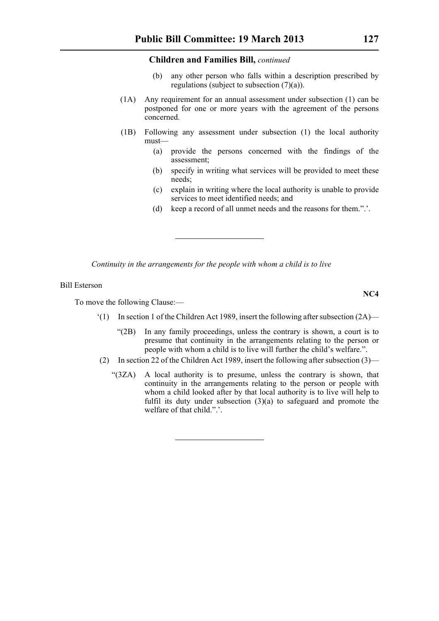- (b) any other person who falls within a description prescribed by regulations (subject to subsection (7)(a)).
- (1A) Any requirement for an annual assessment under subsection (1) can be postponed for one or more years with the agreement of the persons concerned.
- (1B) Following any assessment under subsection (1) the local authority must—
	- (a) provide the persons concerned with the findings of the assessment;
	- (b) specify in writing what services will be provided to meet these needs;
	- (c) explain in writing where the local authority is unable to provide services to meet identified needs; and
	- (d) keep a record of all unmet needs and the reasons for them.".'.

*Continuity in the arrangements for the people with whom a child is to live*

Bill Esterson

To move the following Clause:—

- '(1) In section 1 of the Children Act 1989, insert the following after subsection (2A)—
	- "(2B) In any family proceedings, unless the contrary is shown, a court is to presume that continuity in the arrangements relating to the person or people with whom a child is to live will further the child's welfare.".
- (2) In section 22 of the Children Act 1989, insert the following after subsection (3)—
	- "(3ZA) A local authority is to presume, unless the contrary is shown, that continuity in the arrangements relating to the person or people with whom a child looked after by that local authority is to live will help to fulfil its duty under subsection (3)(a) to safeguard and promote the welfare of that child.".'.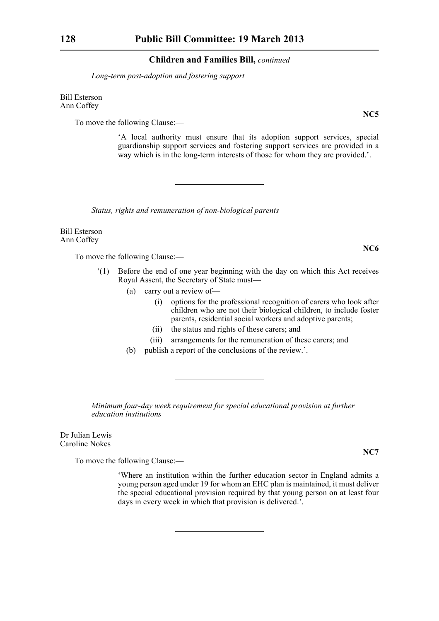*Long-term post-adoption and fostering support*

Bill Esterson Ann Coffey

To move the following Clause:—

'A local authority must ensure that its adoption support services, special guardianship support services and fostering support services are provided in a way which is in the long-term interests of those for whom they are provided.'.

*Status, rights and remuneration of non-biological parents*

Bill Esterson Ann Coffey

To move the following Clause:—

- '(1) Before the end of one year beginning with the day on which this Act receives Royal Assent, the Secretary of State must—
	- (a) carry out a review of—
		- (i) options for the professional recognition of carers who look after children who are not their biological children, to include foster parents, residential social workers and adoptive parents;
		- (ii) the status and rights of these carers; and
		- (iii) arrangements for the remuneration of these carers; and
	- (b) publish a report of the conclusions of the review.'.

*Minimum four-day week requirement for special educational provision at further education institutions*

Dr Julian Lewis Caroline Nokes

To move the following Clause:—

'Where an institution within the further education sector in England admits a young person aged under 19 for whom an EHC plan is maintained, it must deliver the special educational provision required by that young person on at least four days in every week in which that provision is delivered.'.

**NC5**

**NC6**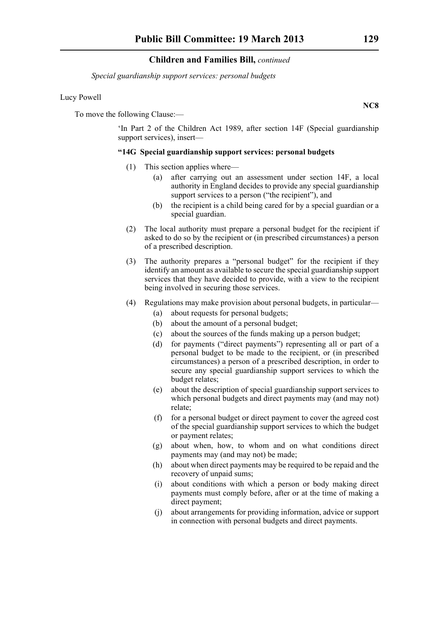*Special guardianship support services: personal budgets*

# Lucy Powell

To move the following Clause:—

'In Part 2 of the Children Act 1989, after section 14F (Special guardianship support services), insert—

# **"14G Special guardianship support services: personal budgets**

- (1) This section applies where—
	- (a) after carrying out an assessment under section 14F, a local authority in England decides to provide any special guardianship support services to a person ("the recipient"), and
	- (b) the recipient is a child being cared for by a special guardian or a special guardian.
- (2) The local authority must prepare a personal budget for the recipient if asked to do so by the recipient or (in prescribed circumstances) a person of a prescribed description.
- (3) The authority prepares a "personal budget" for the recipient if they identify an amount as available to secure the special guardianship support services that they have decided to provide, with a view to the recipient being involved in securing those services.
- (4) Regulations may make provision about personal budgets, in particular—
	- (a) about requests for personal budgets;
	- (b) about the amount of a personal budget;
	- (c) about the sources of the funds making up a person budget;
	- (d) for payments ("direct payments") representing all or part of a personal budget to be made to the recipient, or (in prescribed circumstances) a person of a prescribed description, in order to secure any special guardianship support services to which the budget relates;
	- (e) about the description of special guardianship support services to which personal budgets and direct payments may (and may not) relate;
	- (f) for a personal budget or direct payment to cover the agreed cost of the special guardianship support services to which the budget or payment relates;
	- (g) about when, how, to whom and on what conditions direct payments may (and may not) be made;
	- (h) about when direct payments may be required to be repaid and the recovery of unpaid sums;
	- (i) about conditions with which a person or body making direct payments must comply before, after or at the time of making a direct payment;
	- (j) about arrangements for providing information, advice or support in connection with personal budgets and direct payments.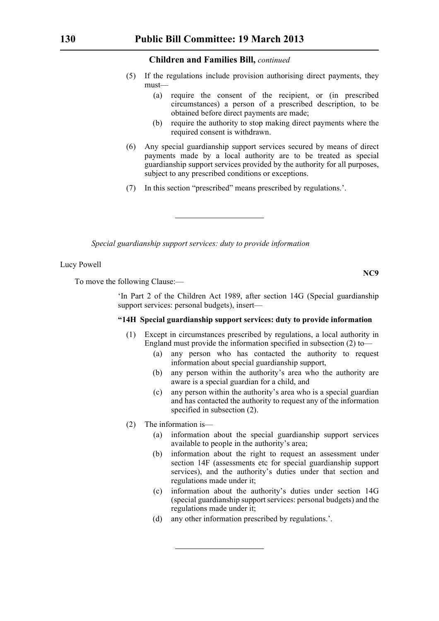- (5) If the regulations include provision authorising direct payments, they must—
	- (a) require the consent of the recipient, or (in prescribed circumstances) a person of a prescribed description, to be obtained before direct payments are made;
	- (b) require the authority to stop making direct payments where the required consent is withdrawn.
- (6) Any special guardianship support services secured by means of direct payments made by a local authority are to be treated as special guardianship support services provided by the authority for all purposes, subject to any prescribed conditions or exceptions.
- (7) In this section "prescribed" means prescribed by regulations.'.

*Special guardianship support services: duty to provide information*

Lucy Powell

To move the following Clause:—

'In Part 2 of the Children Act 1989, after section 14G (Special guardianship support services: personal budgets), insert-

# **"14H Special guardianship support services: duty to provide information**

- (1) Except in circumstances prescribed by regulations, a local authority in England must provide the information specified in subsection (2) to—
	- (a) any person who has contacted the authority to request information about special guardianship support,
	- (b) any person within the authority's area who the authority are aware is a special guardian for a child, and
	- (c) any person within the authority's area who is a special guardian and has contacted the authority to request any of the information specified in subsection (2).
- (2) The information is—
	- (a) information about the special guardianship support services available to people in the authority's area;
	- (b) information about the right to request an assessment under section 14F (assessments etc for special guardianship support services), and the authority's duties under that section and regulations made under it;
	- (c) information about the authority's duties under section 14G (special guardianship support services: personal budgets) and the regulations made under it;
	- (d) any other information prescribed by regulations.'.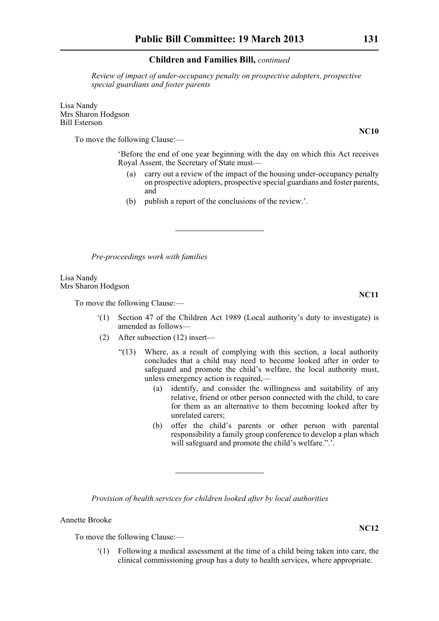*Review of impact of under-occupancy penalty on prospective adopters, prospective special guardians and foster parents*

Lisa Nandy Mrs Sharon Hodgson Bill Esterson

To move the following Clause:—

'Before the end of one year beginning with the day on which this Act receives Royal Assent, the Secretary of State must—

- (a) carry out a review of the impact of the housing under-occupancy penalty on prospective adopters, prospective special guardians and foster parents, and
- (b) publish a report of the conclusions of the review.'.

*Pre-proceedings work with families*

Lisa Nandy Mrs Sharon Hodgson

To move the following Clause:—

- '(1) Section 47 of the Children Act 1989 (Local authority's duty to investigate) is amended as follows—
- (2) After subsection (12) insert—
	- "(13) Where, as a result of complying with this section, a local authority concludes that a child may need to become looked after in order to safeguard and promote the child's welfare, the local authority must, unless emergency action is required,—
		- (a) identify, and consider the willingness and suitability of any relative, friend or other person connected with the child, to care for them as an alternative to them becoming looked after by unrelated carers;
		- (b) offer the child's parents or other person with parental responsibility a family group conference to develop a plan which will safeguard and promote the child's welfare.".'.

*Provision of health services for children looked after by local authorities*

Annette Brooke

To move the following Clause:—

'(1) Following a medical assessment at the time of a child being taken into care, the clinical commissioning group has a duty to health services, where appropriate.

**NC10**

**NC11**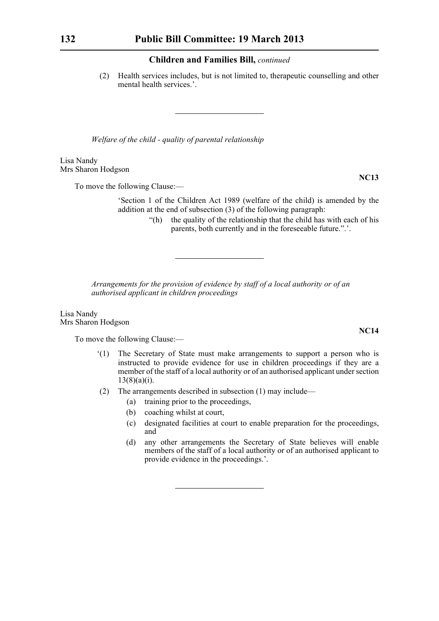(2) Health services includes, but is not limited to, therapeutic counselling and other mental health services.'.

*Welfare of the child - quality of parental relationship*

Lisa Nandy Mrs Sharon Hodgson

To move the following Clause:—

'Section 1 of the Children Act 1989 (welfare of the child) is amended by the addition at the end of subsection (3) of the following paragraph:

> "(h) the quality of the relationship that the child has with each of his parents, both currently and in the foreseeable future.".'.

*Arrangements for the provision of evidence by staff of a local authority or of an authorised applicant in children proceedings*

Lisa Nandy Mrs Sharon Hodgson

To move the following Clause:—

- '(1) The Secretary of State must make arrangements to support a person who is instructed to provide evidence for use in children proceedings if they are a member of the staff of a local authority or of an authorised applicant under section  $13(8)(a)(i)$ .
- (2) The arrangements described in subsection (1) may include—
	- (a) training prior to the proceedings,
	- (b) coaching whilst at court,
	- (c) designated facilities at court to enable preparation for the proceedings, and
	- (d) any other arrangements the Secretary of State believes will enable members of the staff of a local authority or of an authorised applicant to provide evidence in the proceedings.'.

**NC13**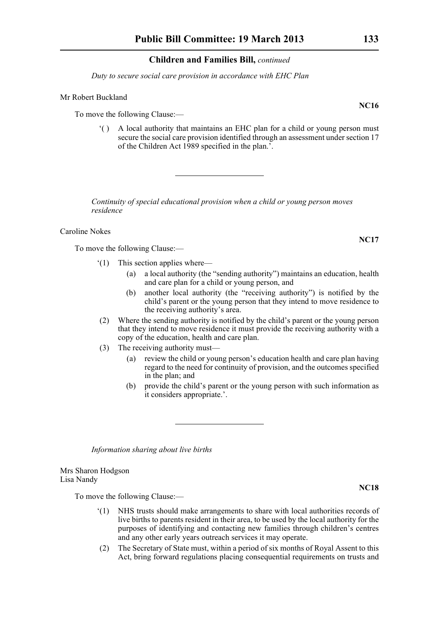*Duty to secure social care provision in accordance with EHC Plan*

# Mr Robert Buckland

To move the following Clause:—

'( ) A local authority that maintains an EHC plan for a child or young person must secure the social care provision identified through an assessment under section 17 of the Children Act 1989 specified in the plan.'.

*Continuity of special educational provision when a child or young person moves residence*

Caroline Nokes

To move the following Clause:—

- '(1) This section applies where—
	- (a) a local authority (the "sending authority") maintains an education, health and care plan for a child or young person, and
	- (b) another local authority (the "receiving authority") is notified by the child's parent or the young person that they intend to move residence to the receiving authority's area.
- (2) Where the sending authority is notified by the child's parent or the young person that they intend to move residence it must provide the receiving authority with a copy of the education, health and care plan.
- (3) The receiving authority must—
	- (a) review the child or young person's education health and care plan having regard to the need for continuity of provision, and the outcomes specified in the plan; and
	- (b) provide the child's parent or the young person with such information as it considers appropriate.'.

*Information sharing about live births*

Mrs Sharon Hodgson Lisa Nandy

To move the following Clause:—

- '(1) NHS trusts should make arrangements to share with local authorities records of live births to parents resident in their area, to be used by the local authority for the purposes of identifying and contacting new families through children's centres and any other early years outreach services it may operate.
- (2) The Secretary of State must, within a period of six months of Royal Assent to this Act, bring forward regulations placing consequential requirements on trusts and

**NC16**

**NC17**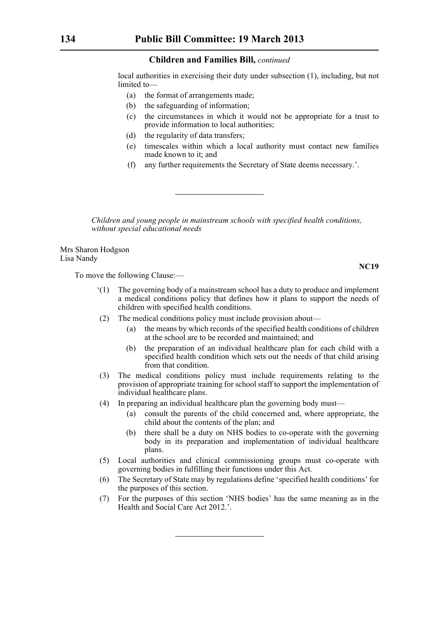local authorities in exercising their duty under subsection (1), including, but not limited to—

- (a) the format of arrangements made;
- (b) the safeguarding of information;
- (c) the circumstances in which it would not be appropriate for a trust to provide information to local authorities;
- (d) the regularity of data transfers;
- (e) timescales within which a local authority must contact new families made known to it; and
- (f) any further requirements the Secretary of State deems necessary.'.

*Children and young people in mainstream schools with specified health conditions, without special educational needs*

Mrs Sharon Hodgson Lisa Nandy

To move the following Clause:—

- '(1) The governing body of a mainstream school has a duty to produce and implement a medical conditions policy that defines how it plans to support the needs of children with specified health conditions.
- (2) The medical conditions policy must include provision about—
	- (a) the means by which records of the specified health conditions of children at the school are to be recorded and maintained; and
	- (b) the preparation of an individual healthcare plan for each child with a specified health condition which sets out the needs of that child arising from that condition.
- (3) The medical conditions policy must include requirements relating to the provision of appropriate training for school staff to support the implementation of individual healthcare plans.
- (4) In preparing an individual healthcare plan the governing body must—
	- (a) consult the parents of the child concerned and, where appropriate, the child about the contents of the plan; and
	- (b) there shall be a duty on NHS bodies to co-operate with the governing body in its preparation and implementation of individual healthcare plans.
- (5) Local authorities and clinical commissioning groups must co-operate with governing bodies in fulfilling their functions under this Act.
- (6) The Secretary of State may by regulations define 'specified health conditions' for the purposes of this section.
- (7) For the purposes of this section 'NHS bodies' has the same meaning as in the Health and Social Care Act 2012.'.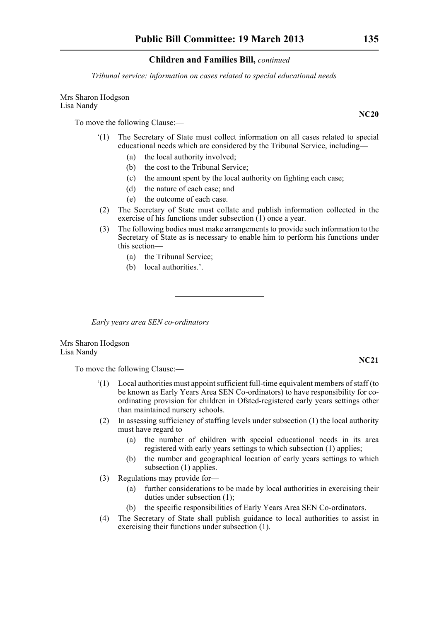*Tribunal service: information on cases related to special educational needs*

Mrs Sharon Hodgson Lisa Nandy

To move the following Clause:—

- '(1) The Secretary of State must collect information on all cases related to special educational needs which are considered by the Tribunal Service, including—
	- (a) the local authority involved;
	- (b) the cost to the Tribunal Service;
	- (c) the amount spent by the local authority on fighting each case;
	- (d) the nature of each case; and
	- (e) the outcome of each case.
- (2) The Secretary of State must collate and publish information collected in the exercise of his functions under subsection  $(1)$  once a year.
- (3) The following bodies must make arrangements to provide such information to the Secretary of State as is necessary to enable him to perform his functions under this section—
	- (a) the Tribunal Service;
	- (b) local authorities.'.

*Early years area SEN co-ordinators*

Mrs Sharon Hodgson Lisa Nandy

To move the following Clause:—

- '(1) Local authorities must appoint sufficient full-time equivalent members of staff (to be known as Early Years Area SEN Co-ordinators) to have responsibility for coordinating provision for children in Ofsted-registered early years settings other than maintained nursery schools.
- (2) In assessing sufficiency of staffing levels under subsection (1) the local authority must have regard to—
	- (a) the number of children with special educational needs in its area registered with early years settings to which subsection (1) applies;
	- (b) the number and geographical location of early years settings to which subsection (1) applies.
- (3) Regulations may provide for—
	- (a) further considerations to be made by local authorities in exercising their duties under subsection (1);
	- (b) the specific responsibilities of Early Years Area SEN Co-ordinators.
- (4) The Secretary of State shall publish guidance to local authorities to assist in exercising their functions under subsection (1).

**NC20**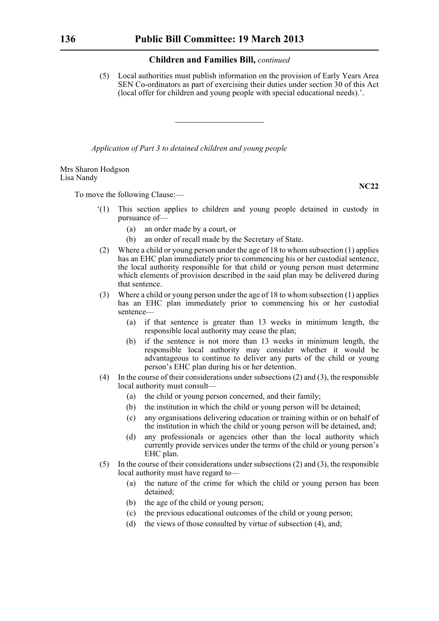(5) Local authorities must publish information on the provision of Early Years Area SEN Co-ordinators as part of exercising their duties under section 30 of this Act (local offer for children and young people with special educational needs).'.

*Application of Part 3 to detained children and young people*

Mrs Sharon Hodgson Lisa Nandy

To move the following Clause:—

- '(1) This section applies to children and young people detained in custody in pursuance of—
	- (a) an order made by a court, or
	- (b) an order of recall made by the Secretary of State.
- (2) Where a child or young person under the age of 18 to whom subsection (1) applies has an EHC plan immediately prior to commencing his or her custodial sentence, the local authority responsible for that child or young person must determine which elements of provision described in the said plan may be delivered during that sentence.
- (3) Where a child or young person under the age of 18 to whom subsection (1) applies has an EHC plan immediately prior to commencing his or her custodial sentence—
	- (a) if that sentence is greater than 13 weeks in minimum length, the responsible local authority may cease the plan;
	- (b) if the sentence is not more than 13 weeks in minimum length, the responsible local authority may consider whether it would be advantageous to continue to deliver any parts of the child or young person's EHC plan during his or her detention.
- (4) In the course of their considerations under subsections (2) and (3), the responsible local authority must consult—
	- (a) the child or young person concerned, and their family;
	- (b) the institution in which the child or young person will be detained;
	- (c) any organisations delivering education or training within or on behalf of the institution in which the child or young person will be detained, and;
	- (d) any professionals or agencies other than the local authority which currently provide services under the terms of the child or young person's EHC plan.
- (5) In the course of their considerations under subsections (2) and (3), the responsible local authority must have regard to—
	- (a) the nature of the crime for which the child or young person has been detained;
	- (b) the age of the child or young person;
	- (c) the previous educational outcomes of the child or young person;
	- (d) the views of those consulted by virtue of subsection (4), and;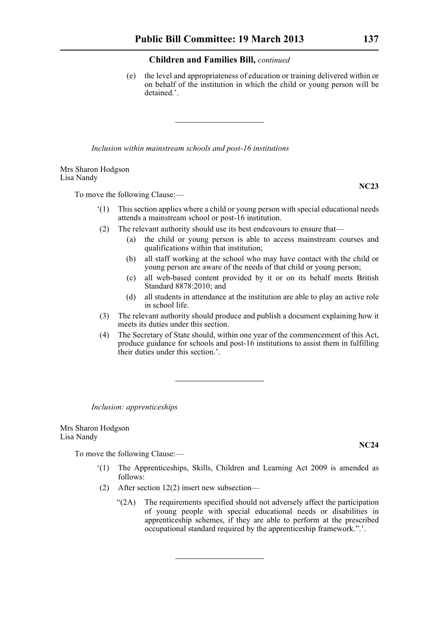(e) the level and appropriateness of education or training delivered within or on behalf of the institution in which the child or young person will be detained.'.

*Inclusion within mainstream schools and post-16 institutions*

Mrs Sharon Hodgson Lisa Nandy

To move the following Clause:—

- '(1) This section applies where a child or young person with special educational needs attends a mainstream school or post-16 institution.
- (2) The relevant authority should use its best endeavours to ensure that—
	- (a) the child or young person is able to access mainstream courses and qualifications within that institution;
	- (b) all staff working at the school who may have contact with the child or young person are aware of the needs of that child or young person;
	- (c) all web-based content provided by it or on its behalf meets British Standard 8878:2010; and
	- (d) all students in attendance at the institution are able to play an active role in school life.
- (3) The relevant authority should produce and publish a document explaining how it meets its duties under this section.
- (4) The Secretary of State should, within one year of the commencement of this Act, produce guidance for schools and post-16 institutions to assist them in fulfilling their duties under this section.'.

*Inclusion: apprenticeships*

Mrs Sharon Hodgson Lisa Nandy

To move the following Clause:—

- '(1) The Apprenticeships, Skills, Children and Learning Act 2009 is amended as follows:
- (2) After section 12(2) insert new subsection—
	- "(2A) The requirements specified should not adversely affect the participation of young people with special educational needs or disabilities in apprenticeship schemes, if they are able to perform at the prescribed occupational standard required by the apprenticeship framework.".'.

**NC24**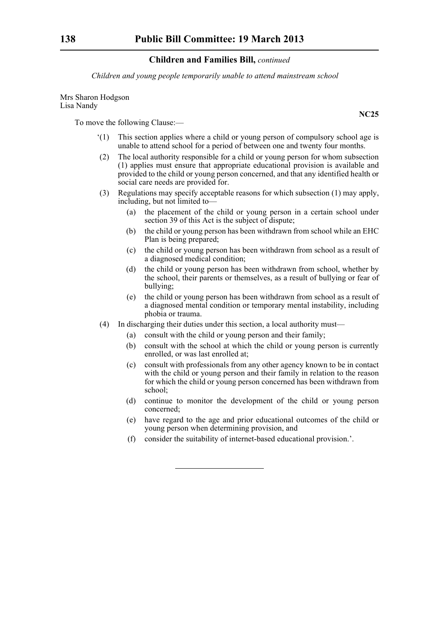*Children and young people temporarily unable to attend mainstream school*

Mrs Sharon Hodgson Lisa Nandy

To move the following Clause:—

- '(1) This section applies where a child or young person of compulsory school age is unable to attend school for a period of between one and twenty four months.
- (2) The local authority responsible for a child or young person for whom subsection (1) applies must ensure that appropriate educational provision is available and provided to the child or young person concerned, and that any identified health or social care needs are provided for.
- (3) Regulations may specify acceptable reasons for which subsection (1) may apply, including, but not limited to—
	- (a) the placement of the child or young person in a certain school under section 39 of this Act is the subject of dispute;
	- (b) the child or young person has been withdrawn from school while an EHC Plan is being prepared;
	- (c) the child or young person has been withdrawn from school as a result of a diagnosed medical condition;
	- (d) the child or young person has been withdrawn from school, whether by the school, their parents or themselves, as a result of bullying or fear of bullying;
	- (e) the child or young person has been withdrawn from school as a result of a diagnosed mental condition or temporary mental instability, including phobia or trauma.
- (4) In discharging their duties under this section, a local authority must—
	- (a) consult with the child or young person and their family;
	- (b) consult with the school at which the child or young person is currently enrolled, or was last enrolled at;
	- (c) consult with professionals from any other agency known to be in contact with the child or young person and their family in relation to the reason for which the child or young person concerned has been withdrawn from school;
	- (d) continue to monitor the development of the child or young person concerned;
	- (e) have regard to the age and prior educational outcomes of the child or young person when determining provision, and
	- (f) consider the suitability of internet-based educational provision.'.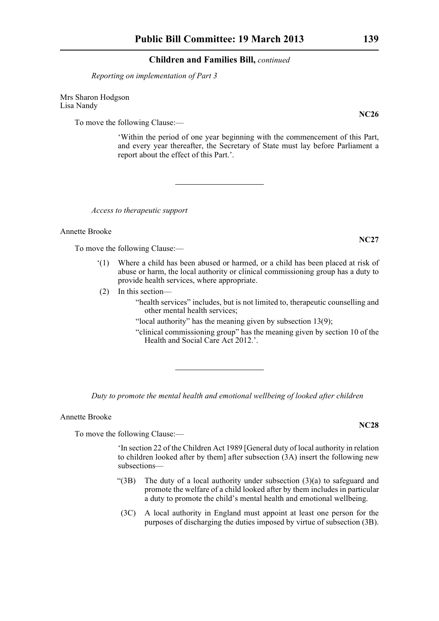*Reporting on implementation of Part 3*

Mrs Sharon Hodgson Lisa Nandy

To move the following Clause:—

'Within the period of one year beginning with the commencement of this Part, and every year thereafter, the Secretary of State must lay before Parliament a report about the effect of this Part.'.

*Access to therapeutic support*

Annette Brooke

To move the following Clause:—

- '(1) Where a child has been abused or harmed, or a child has been placed at risk of abuse or harm, the local authority or clinical commissioning group has a duty to provide health services, where appropriate.
- (2) In this section—

"health services" includes, but is not limited to, therapeutic counselling and other mental health services;

- "local authority" has the meaning given by subsection  $13(9)$ ;
- "clinical commissioning group" has the meaning given by section 10 of the Health and Social Care Act 2012.'.

*Duty to promote the mental health and emotional wellbeing of looked after children*

Annette Brooke

To move the following Clause:—

'In section 22 of the Children Act 1989 [General duty of local authority in relation to children looked after by them] after subsection (3A) insert the following new subsections—

- "(3B) The duty of a local authority under subsection (3)(a) to safeguard and promote the welfare of a child looked after by them includes in particular a duty to promote the child's mental health and emotional wellbeing.
- (3C) A local authority in England must appoint at least one person for the purposes of discharging the duties imposed by virtue of subsection (3B).

**NC26**

**NC27**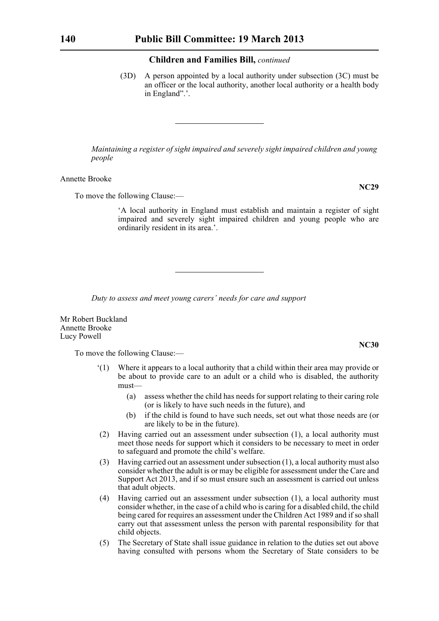(3D) A person appointed by a local authority under subsection (3C) must be an officer or the local authority, another local authority or a health body in England".'.

*Maintaining a register of sight impaired and severely sight impaired children and young people*

Annette Brooke

To move the following Clause:—

'A local authority in England must establish and maintain a register of sight impaired and severely sight impaired children and young people who are ordinarily resident in its area.'.

*Duty to assess and meet young carers' needs for care and support*

Mr Robert Buckland Annette Brooke Lucy Powell

To move the following Clause:—

- '(1) Where it appears to a local authority that a child within their area may provide or be about to provide care to an adult or a child who is disabled, the authority must—
	- (a) assess whether the child has needs for support relating to their caring role (or is likely to have such needs in the future), and
	- (b) if the child is found to have such needs, set out what those needs are (or are likely to be in the future).
- (2) Having carried out an assessment under subsection (1), a local authority must meet those needs for support which it considers to be necessary to meet in order to safeguard and promote the child's welfare.
- (3) Having carried out an assessment under subsection (1), a local authority must also consider whether the adult is or may be eligible for assessment under the Care and Support Act 2013, and if so must ensure such an assessment is carried out unless that adult objects.
- (4) Having carried out an assessment under subsection (1), a local authority must consider whether, in the case of a child who is caring for a disabled child, the child being cared for requires an assessment under the Children Act 1989 and if so shall carry out that assessment unless the person with parental responsibility for that child objects.
- (5) The Secretary of State shall issue guidance in relation to the duties set out above having consulted with persons whom the Secretary of State considers to be

**NC29**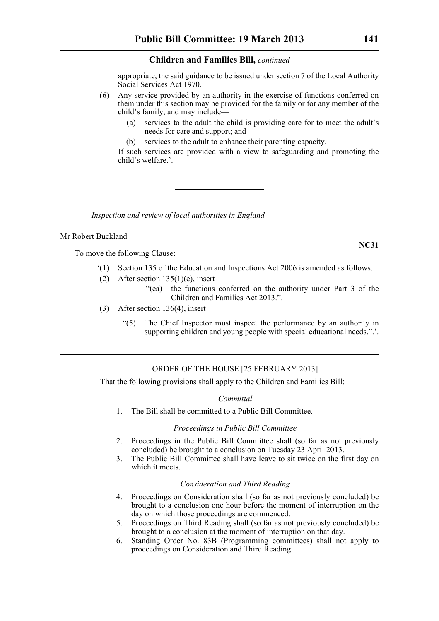appropriate, the said guidance to be issued under section 7 of the Local Authority Social Services Act 1970.

- (6) Any service provided by an authority in the exercise of functions conferred on them under this section may be provided for the family or for any member of the child's family, and may include—
	- (a) services to the adult the child is providing care for to meet the adult's needs for care and support; and
	- (b) services to the adult to enhance their parenting capacity.

If such services are provided with a view to safeguarding and promoting the child's welfare.'.

*Inspection and review of local authorities in England*

# Mr Robert Buckland

To move the following Clause:—

- '(1) Section 135 of the Education and Inspections Act 2006 is amended as follows.
- (2) After section  $135(1)(e)$ , insert—
	- "(ea) the functions conferred on the authority under Part 3 of the Children and Families Act 2013.".
- (3) After section 136(4), insert—
	- "(5) The Chief Inspector must inspect the performance by an authority in supporting children and young people with special educational needs.".

# ORDER OF THE HOUSE [25 FEBRUARY 2013]

That the following provisions shall apply to the Children and Families Bill:

# *Committal*

1. The Bill shall be committed to a Public Bill Committee.

# *Proceedings in Public Bill Committee*

- 2. Proceedings in the Public Bill Committee shall (so far as not previously concluded) be brought to a conclusion on Tuesday 23 April 2013.
- 3. The Public Bill Committee shall have leave to sit twice on the first day on which it meets.

# *Consideration and Third Reading*

- 4. Proceedings on Consideration shall (so far as not previously concluded) be brought to a conclusion one hour before the moment of interruption on the day on which those proceedings are commenced.
- 5. Proceedings on Third Reading shall (so far as not previously concluded) be brought to a conclusion at the moment of interruption on that day.
- 6. Standing Order No. 83B (Programming committees) shall not apply to proceedings on Consideration and Third Reading.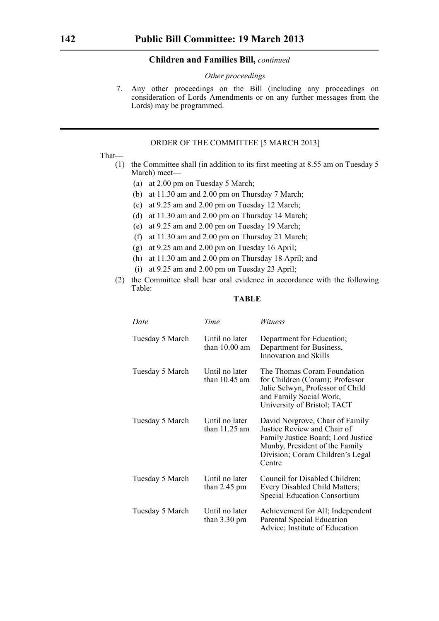# *Other proceedings*

7. Any other proceedings on the Bill (including any proceedings on consideration of Lords Amendments or on any further messages from the Lords) may be programmed.

# ORDER OF THE COMMITTEE [5 MARCH 2013]

# That—

- (1) the Committee shall (in addition to its first meeting at 8.55 am on Tuesday 5 March) meet—
	- (a) at 2.00 pm on Tuesday 5 March;
	- (b) at 11.30 am and 2.00 pm on Thursday 7 March;
	- (c) at 9.25 am and 2.00 pm on Tuesday 12 March;
	- (d) at 11.30 am and 2.00 pm on Thursday 14 March;
	- (e) at 9.25 am and 2.00 pm on Tuesday 19 March;
	- (f) at 11.30 am and 2.00 pm on Thursday 21 March;
	- (g) at 9.25 am and 2.00 pm on Tuesday 16 April;
	- (h) at 11.30 am and 2.00 pm on Thursday 18 April; and
	- (i) at 9.25 am and 2.00 pm on Tuesday 23 April;
- (2) the Committee shall hear oral evidence in accordance with the following Table:

# **TABLE**

| Date            | Time                                     | Witness                                                                                                                                                                              |
|-----------------|------------------------------------------|--------------------------------------------------------------------------------------------------------------------------------------------------------------------------------------|
| Tuesday 5 March | Until no later<br>than $10.00$ am        | Department for Education;<br>Department for Business,<br>Innovation and Skills                                                                                                       |
| Tuesday 5 March | Until no later<br>than $10.45$ am        | The Thomas Coram Foundation<br>for Children (Coram); Professor<br>Julie Selwyn, Professor of Child<br>and Family Social Work,<br>University of Bristol; TACT                         |
| Tuesday 5 March | Until no later<br>than $11.25$ am        | David Norgrove, Chair of Family<br>Justice Review and Chair of<br>Family Justice Board; Lord Justice<br>Munby, President of the Family<br>Division; Coram Children's Legal<br>Centre |
| Tuesday 5 March | Until no later<br>than $2.45$ pm         | Council for Disabled Children;<br>Every Disabled Child Matters;<br><b>Special Education Consortium</b>                                                                               |
| Tuesday 5 March | Until no later<br>than $3.30 \text{ pm}$ | Achievement for All; Independent<br>Parental Special Education<br>Advice; Institute of Education                                                                                     |